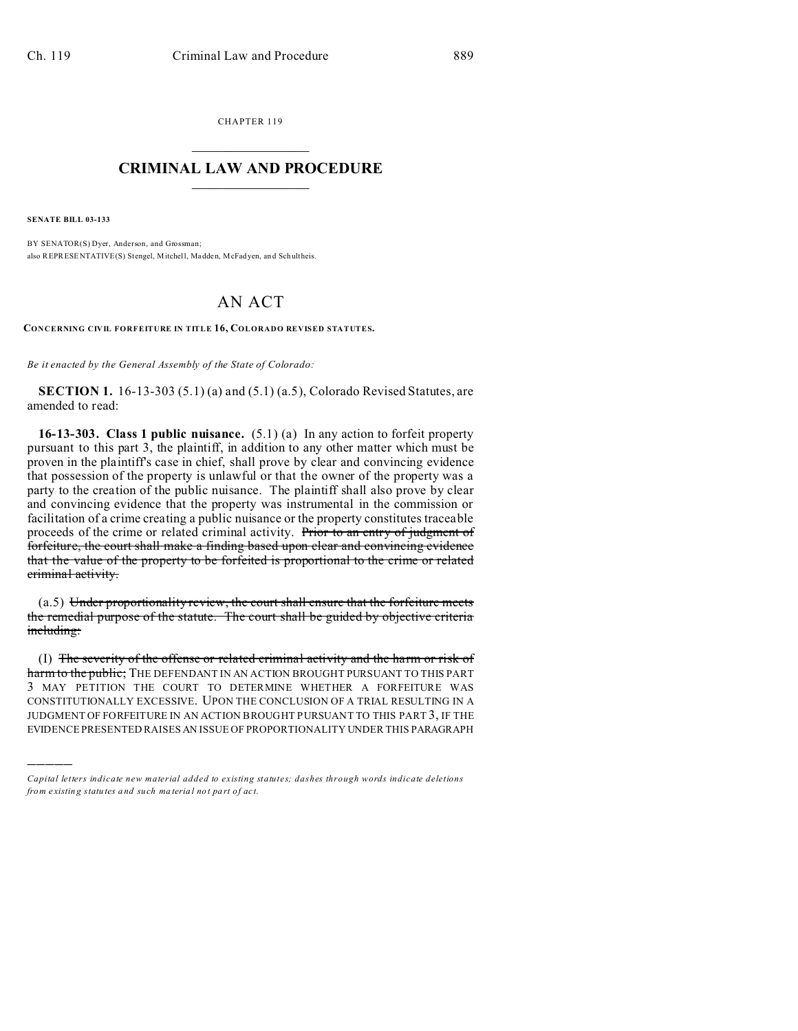CHAPTER 119  $\overline{\phantom{a}}$  , where  $\overline{\phantom{a}}$ 

## **CRIMINAL LAW AND PROCEDURE**  $\_$   $\_$   $\_$   $\_$   $\_$   $\_$   $\_$   $\_$   $\_$

**SENATE BILL 03-133**

)))))

BY SENATOR(S) Dyer, Anderson, and Grossman; also REPRESENTATIVE(S) Stengel, Mitchell, Madden, McFadyen, an d Sch ultheis.

## AN ACT

**CONCERNING CIVIL FORFEITURE IN TITLE 16, COLORADO REVISED STATUTES.**

*Be it enacted by the General Assembly of the State of Colorado:*

**SECTION 1.** 16-13-303 (5.1) (a) and (5.1) (a.5), Colorado Revised Statutes, are amended to read:

**16-13-303. Class 1 public nuisance.** (5.1) (a) In any action to forfeit property pursuant to this part 3, the plaintiff, in addition to any other matter which must be proven in the plaintiff's case in chief, shall prove by clear and convincing evidence that possession of the property is unlawful or that the owner of the property was a party to the creation of the public nuisance. The plaintiff shall also prove by clear and convincing evidence that the property was instrumental in the commission or facilitation of a crime creating a public nuisance or the property constitutes traceable proceeds of the crime or related criminal activity. Prior to an entry of judgment of forfeiture, the court shall make a finding based upon clear and convincing evidence that the value of the property to be forfeited is proportional to the crime or related criminal activity.

(a.5) Under proportionality review, the court shall ensure that the forfeiture meets the remedial purpose of the statute. The court shall be guided by objective criteria including:

(I) The severity of the offense or related criminal activity and the harm or risk of harm to the public; THE DEFENDANT IN AN ACTION BROUGHT PURSUANT TO THIS PART 3 MAY PETITION THE COURT TO DETERMINE WHETHER A FORFEITURE WAS CONSTITUTIONALLY EXCESSIVE. UPON THE CONCLUSION OF A TRIAL RESULTING IN A JUDGMENT OF FORFEITURE IN AN ACTION BROUGHT PURSUANT TO THIS PART 3, IF THE EVIDENCE PRESENTED RAISES AN ISSUE OF PROPORTIONALITY UNDER THIS PARAGRAPH

*Capital letters indicate new material added to existing statutes; dashes through words indicate deletions from e xistin g statu tes a nd such ma teria l no t pa rt of ac t.*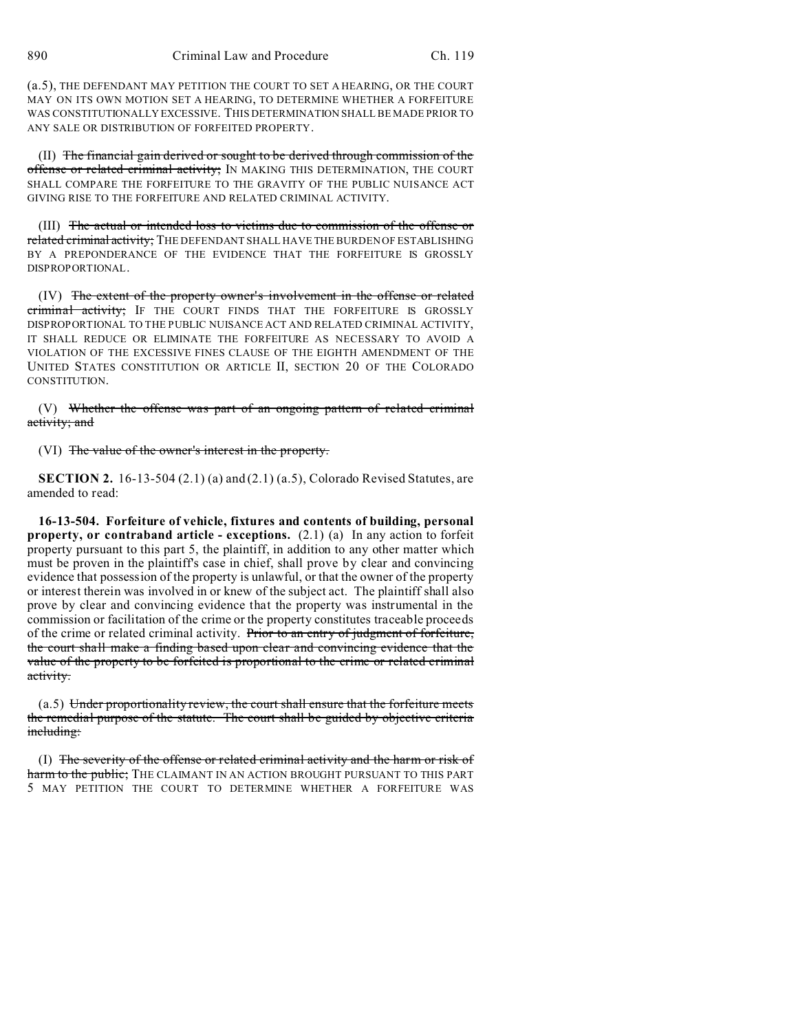(a.5), THE DEFENDANT MAY PETITION THE COURT TO SET A HEARING, OR THE COURT MAY ON ITS OWN MOTION SET A HEARING, TO DETERMINE WHETHER A FORFEITURE WAS CONSTITUTIONALLY EXCESSIVE. THIS DETERMINATION SHALL BE MADE PRIOR TO ANY SALE OR DISTRIBUTION OF FORFEITED PROPERTY.

(II) The financial gain derived or sought to be derived through commission of the offense or related criminal activity; IN MAKING THIS DETERMINATION, THE COURT SHALL COMPARE THE FORFEITURE TO THE GRAVITY OF THE PUBLIC NUISANCE ACT GIVING RISE TO THE FORFEITURE AND RELATED CRIMINAL ACTIVITY.

(III) The actual or intended loss to victims due to commission of the offense or related criminal activity; THE DEFENDANT SHALL HAVE THE BURDEN OF ESTABLISHING BY A PREPONDERANCE OF THE EVIDENCE THAT THE FORFEITURE IS GROSSLY DISPROPORTIONAL.

(IV) The extent of the property owner's involvement in the offense or related criminal activity; IF THE COURT FINDS THAT THE FORFEITURE IS GROSSLY DISPROPORTIONAL TO THE PUBLIC NUISANCE ACT AND RELATED CRIMINAL ACTIVITY, IT SHALL REDUCE OR ELIMINATE THE FORFEITURE AS NECESSARY TO AVOID A VIOLATION OF THE EXCESSIVE FINES CLAUSE OF THE EIGHTH AMENDMENT OF THE UNITED STATES CONSTITUTION OR ARTICLE II, SECTION 20 OF THE COLORADO CONSTITUTION.

(V) Whether the offense was part of an ongoing pattern of related criminal activity; and

(VI) The value of the owner's interest in the property.

**SECTION 2.** 16-13-504 (2.1) (a) and (2.1) (a.5), Colorado Revised Statutes, are amended to read:

**16-13-504. Forfeiture of vehicle, fixtures and contents of building, personal property, or contraband article - exceptions.** (2.1) (a) In any action to forfeit property pursuant to this part 5, the plaintiff, in addition to any other matter which must be proven in the plaintiff's case in chief, shall prove by clear and convincing evidence that possession of the property is unlawful, or that the owner of the property or interest therein was involved in or knew of the subject act. The plaintiff shall also prove by clear and convincing evidence that the property was instrumental in the commission or facilitation of the crime or the property constitutes traceable proceeds of the crime or related criminal activity. Prior to an entry of judgment of forfeiture, the court shall make a finding based upon clear and convincing evidence that the value of the property to be forfeited is proportional to the crime or related criminal activity.

 $(a.5)$  Under proportionality review, the court shall ensure that the forfeiture meets the remedial purpose of the statute. The court shall be guided by objective criteria including:

(I) The severity of the offense or related criminal activity and the harm or risk of harm to the public; THE CLAIMANT IN AN ACTION BROUGHT PURSUANT TO THIS PART 5 MAY PETITION THE COURT TO DETERMINE WHETHER A FORFEITURE WAS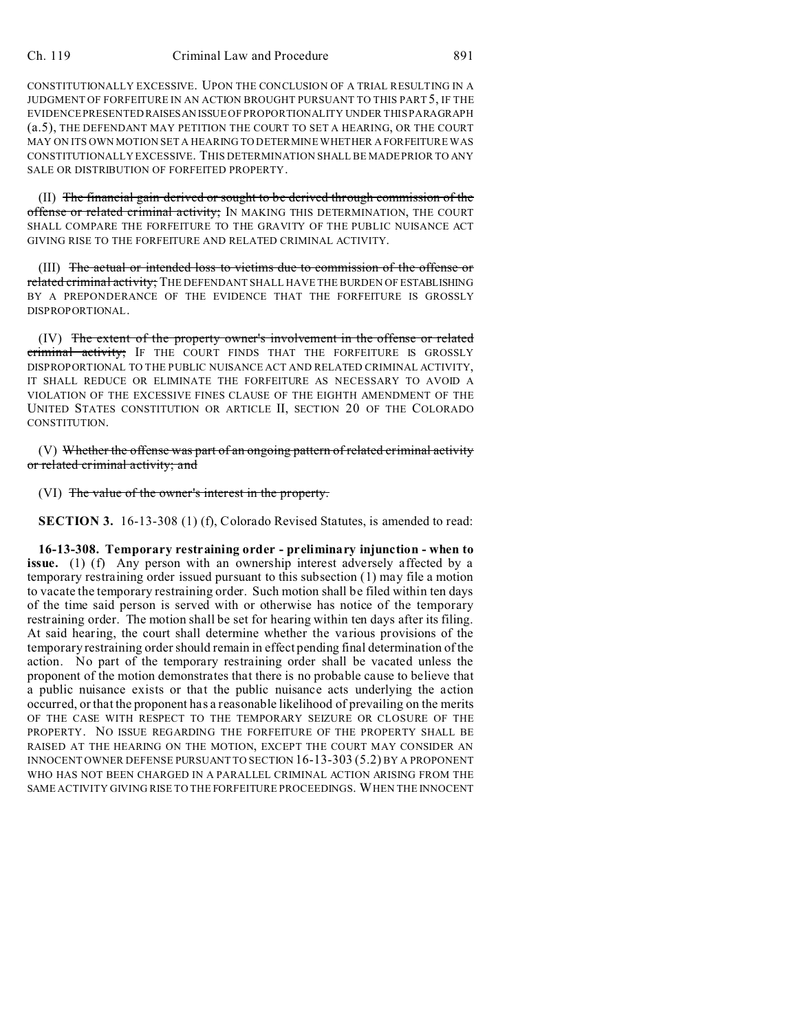## Ch. 119 Criminal Law and Procedure 891

CONSTITUTIONALLY EXCESSIVE. UPON THE CONCLUSION OF A TRIAL RESULTING IN A JUDGMENT OF FORFEITURE IN AN ACTION BROUGHT PURSUANT TO THIS PART 5, IF THE EVIDENCE PRESENTED RAISESAN ISSUE OF PROPORTIONALITY UNDER THIS PARAGRAPH (a.5), THE DEFENDANT MAY PETITION THE COURT TO SET A HEARING, OR THE COURT MAY ON ITS OWN MOTION SET A HEARING TO DETERMINE WHETHER A FORFEITURE WAS CONSTITUTIONALLY EXCESSIVE. THIS DETERMINATION SHALL BE MADE PRIOR TO ANY SALE OR DISTRIBUTION OF FORFEITED PROPERTY.

(II) The financial gain derived or sought to be derived through commission of the offense or related criminal activity; IN MAKING THIS DETERMINATION, THE COURT SHALL COMPARE THE FORFEITURE TO THE GRAVITY OF THE PUBLIC NUISANCE ACT GIVING RISE TO THE FORFEITURE AND RELATED CRIMINAL ACTIVITY.

(III) The actual or intended loss to victims due to commission of the offense or related criminal activity; THE DEFENDANT SHALL HAVE THE BURDEN OF ESTABLISHING BY A PREPONDERANCE OF THE EVIDENCE THAT THE FORFEITURE IS GROSSLY DISPROPORTIONAL.

(IV) The extent of the property owner's involvement in the offense or related criminal activity; IF THE COURT FINDS THAT THE FORFEITURE IS GROSSLY DISPROPORTIONAL TO THE PUBLIC NUISANCE ACT AND RELATED CRIMINAL ACTIVITY, IT SHALL REDUCE OR ELIMINATE THE FORFEITURE AS NECESSARY TO AVOID A VIOLATION OF THE EXCESSIVE FINES CLAUSE OF THE EIGHTH AMENDMENT OF THE UNITED STATES CONSTITUTION OR ARTICLE II, SECTION 20 OF THE COLORADO CONSTITUTION.

(V) Whether the offense was part of an ongoing pattern of related criminal activity or related criminal activity; and

(VI) The value of the owner's interest in the property.

**SECTION 3.** 16-13-308 (1) (f), Colorado Revised Statutes, is amended to read:

**16-13-308. Temporary restraining order - preliminary injunction - when to issue.** (1) (f) Any person with an ownership interest adversely affected by a temporary restraining order issued pursuant to this subsection (1) may file a motion to vacate the temporary restraining order. Such motion shall be filed within ten days of the time said person is served with or otherwise has notice of the temporary restraining order. The motion shall be set for hearing within ten days after its filing. At said hearing, the court shall determine whether the various provisions of the temporary restraining order should remain in effect pending final determination of the action. No part of the temporary restraining order shall be vacated unless the proponent of the motion demonstrates that there is no probable cause to believe that a public nuisance exists or that the public nuisance acts underlying the action occurred, or that the proponent has a reasonable likelihood of prevailing on the merits OF THE CASE WITH RESPECT TO THE TEMPORARY SEIZURE OR CLOSURE OF THE PROPERTY. NO ISSUE REGARDING THE FORFEITURE OF THE PROPERTY SHALL BE RAISED AT THE HEARING ON THE MOTION, EXCEPT THE COURT MAY CONSIDER AN INNOCENT OWNER DEFENSE PURSUANT TO SECTION 16-13-303 (5.2) BY A PROPONENT WHO HAS NOT BEEN CHARGED IN A PARALLEL CRIMINAL ACTION ARISING FROM THE SAME ACTIVITY GIVING RISE TO THE FORFEITURE PROCEEDINGS. WHEN THE INNOCENT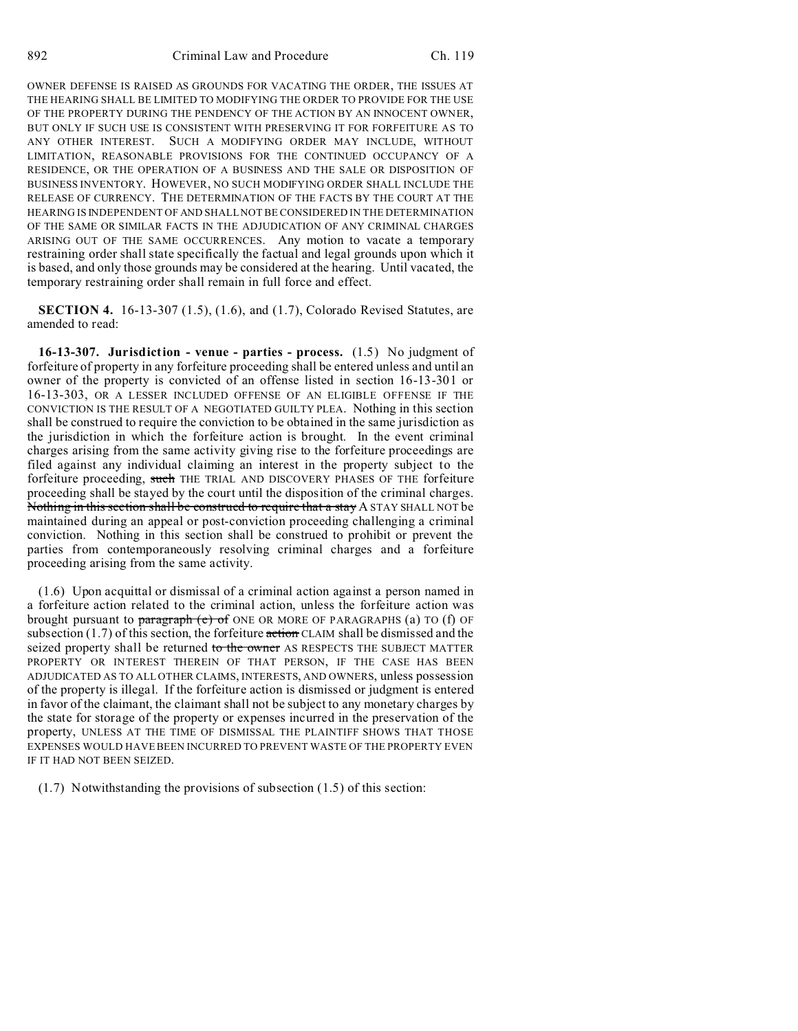OWNER DEFENSE IS RAISED AS GROUNDS FOR VACATING THE ORDER, THE ISSUES AT THE HEARING SHALL BE LIMITED TO MODIFYING THE ORDER TO PROVIDE FOR THE USE OF THE PROPERTY DURING THE PENDENCY OF THE ACTION BY AN INNOCENT OWNER, BUT ONLY IF SUCH USE IS CONSISTENT WITH PRESERVING IT FOR FORFEITURE AS TO ANY OTHER INTEREST. SUCH A MODIFYING ORDER MAY INCLUDE, WITHOUT LIMITATION, REASONABLE PROVISIONS FOR THE CONTINUED OCCUPANCY OF A RESIDENCE, OR THE OPERATION OF A BUSINESS AND THE SALE OR DISPOSITION OF BUSINESS INVENTORY. HOWEVER, NO SUCH MODIFYING ORDER SHALL INCLUDE THE RELEASE OF CURRENCY. THE DETERMINATION OF THE FACTS BY THE COURT AT THE HEARING IS INDEPENDENT OF AND SHALL NOT BE CONSIDERED IN THE DETERMINATION OF THE SAME OR SIMILAR FACTS IN THE ADJUDICATION OF ANY CRIMINAL CHARGES ARISING OUT OF THE SAME OCCURRENCES. Any motion to vacate a temporary restraining order shall state specifically the factual and legal grounds upon which it is based, and only those grounds may be considered at the hearing. Until vacated, the temporary restraining order shall remain in full force and effect.

**SECTION 4.** 16-13-307 (1.5), (1.6), and (1.7), Colorado Revised Statutes, are amended to read:

**16-13-307. Jurisdiction - venue - parties - process.** (1.5) No judgment of forfeiture of property in any forfeiture proceeding shall be entered unless and until an owner of the property is convicted of an offense listed in section 16-13-301 or 16-13-303, OR A LESSER INCLUDED OFFENSE OF AN ELIGIBLE OFFENSE IF THE CONVICTION IS THE RESULT OF A NEGOTIATED GUILTY PLEA. Nothing in this section shall be construed to require the conviction to be obtained in the same jurisdiction as the jurisdiction in which the forfeiture action is brought. In the event criminal charges arising from the same activity giving rise to the forfeiture proceedings are filed against any individual claiming an interest in the property subject to the forfeiture proceeding, such THE TRIAL AND DISCOVERY PHASES OF THE forfeiture proceeding shall be stayed by the court until the disposition of the criminal charges. Nothing in this section shall be construed to require that a stay A STAY SHALL NOT be maintained during an appeal or post-conviction proceeding challenging a criminal conviction. Nothing in this section shall be construed to prohibit or prevent the parties from contemporaneously resolving criminal charges and a forfeiture proceeding arising from the same activity.

(1.6) Upon acquittal or dismissal of a criminal action against a person named in a forfeiture action related to the criminal action, unless the forfeiture action was brought pursuant to  $\frac{1}{2}$  paragraph (e) of ONE OR MORE OF PARAGRAPHS (a) TO (f) OF subsection  $(1.7)$  of this section, the forfeiture  $\frac{\pi}{100}$  CLAIM shall be dismissed and the seized property shall be returned to the owner AS RESPECTS THE SUBJECT MATTER PROPERTY OR INTEREST THEREIN OF THAT PERSON, IF THE CASE HAS BEEN ADJUDICATED AS TO ALL OTHER CLAIMS, INTERESTS, AND OWNERS, unless possession of the property is illegal. If the forfeiture action is dismissed or judgment is entered in favor of the claimant, the claimant shall not be subject to any monetary charges by the state for storage of the property or expenses incurred in the preservation of the property, UNLESS AT THE TIME OF DISMISSAL THE PLAINTIFF SHOWS THAT THOSE EXPENSES WOULD HAVE BEEN INCURRED TO PREVENT WASTE OF THE PROPERTY EVEN IF IT HAD NOT BEEN SEIZED.

(1.7) Notwithstanding the provisions of subsection (1.5) of this section: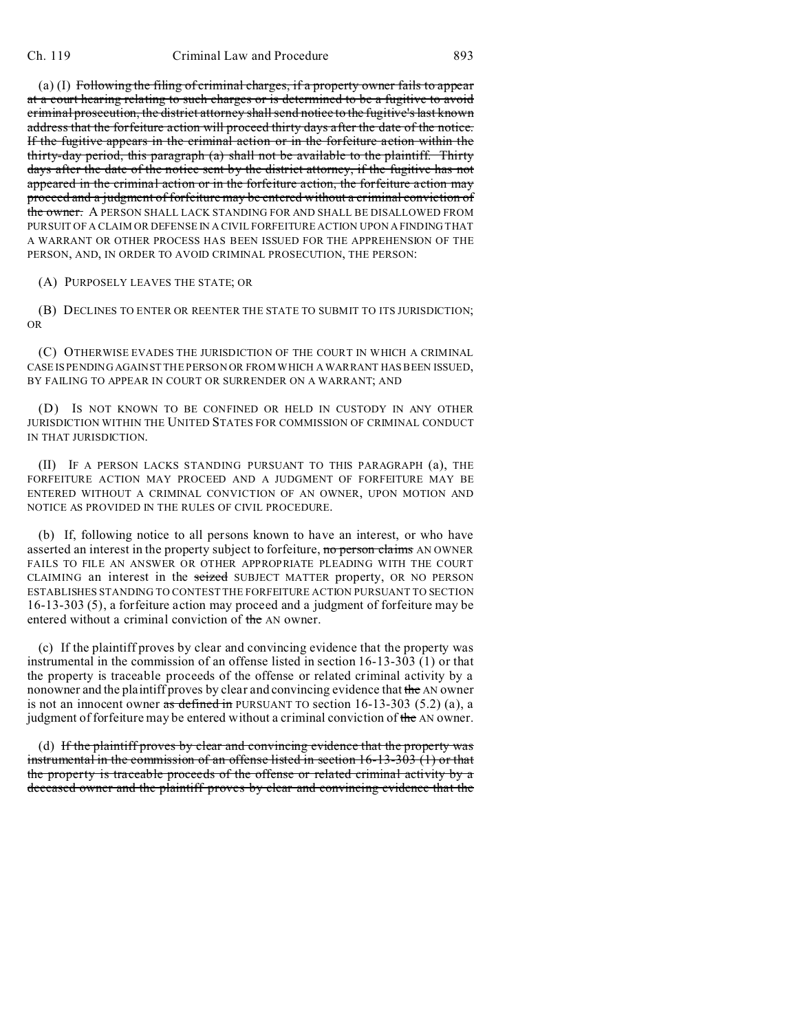(a) (I) Following the filing of criminal charges, if a property owner fails to appear at a court hearing relating to such charges or is determined to be a fugitive to avoid criminal prosecution, the district attorney shall send notice to the fugitive's last known address that the forfeiture action will proceed thirty days after the date of the notice. If the fugitive appears in the criminal action or in the forfeiture action within the thirty-day period, this paragraph (a) shall not be available to the plaintiff. Thirty days after the date of the notice sent by the district attorney, if the fugitive has not appeared in the criminal action or in the forfeiture action, the forfeiture action may proceed and a judgment of forfeiture may be entered without a criminal conviction of the owner. A PERSON SHALL LACK STANDING FOR AND SHALL BE DISALLOWED FROM PURSUIT OF A CLAIM OR DEFENSE IN A CIVIL FORFEITURE ACTION UPON A FINDING THAT A WARRANT OR OTHER PROCESS HAS BEEN ISSUED FOR THE APPREHENSION OF THE PERSON, AND, IN ORDER TO AVOID CRIMINAL PROSECUTION, THE PERSON:

(A) PURPOSELY LEAVES THE STATE; OR

(B) DECLINES TO ENTER OR REENTER THE STATE TO SUBMIT TO ITS JURISDICTION; OR

(C) OTHERWISE EVADES THE JURISDICTION OF THE COURT IN WHICH A CRIMINAL CASE IS PENDING AGAINST THE PERSON OR FROM WHICH A WARRANT HAS BEEN ISSUED, BY FAILING TO APPEAR IN COURT OR SURRENDER ON A WARRANT; AND

(D) IS NOT KNOWN TO BE CONFINED OR HELD IN CUSTODY IN ANY OTHER JURISDICTION WITHIN THE UNITED STATES FOR COMMISSION OF CRIMINAL CONDUCT IN THAT JURISDICTION.

(II) IF A PERSON LACKS STANDING PURSUANT TO THIS PARAGRAPH (a), THE FORFEITURE ACTION MAY PROCEED AND A JUDGMENT OF FORFEITURE MAY BE ENTERED WITHOUT A CRIMINAL CONVICTION OF AN OWNER, UPON MOTION AND NOTICE AS PROVIDED IN THE RULES OF CIVIL PROCEDURE.

(b) If, following notice to all persons known to have an interest, or who have asserted an interest in the property subject to forfeiture, no person claims AN OWNER FAILS TO FILE AN ANSWER OR OTHER APPROPRIATE PLEADING WITH THE COURT CLAIMING an interest in the seized SUBJECT MATTER property, OR NO PERSON ESTABLISHES STANDING TO CONTEST THE FORFEITURE ACTION PURSUANT TO SECTION 16-13-303 (5), a forfeiture action may proceed and a judgment of forfeiture may be entered without a criminal conviction of the AN owner.

(c) If the plaintiff proves by clear and convincing evidence that the property was instrumental in the commission of an offense listed in section 16-13-303 (1) or that the property is traceable proceeds of the offense or related criminal activity by a nonowner and the plaintiff proves by clear and convincing evidence that the AN owner is not an innocent owner as defined in PURSUANT TO section  $16-13-303$   $(5.2)$  (a), a judgment of forfeiture may be entered without a criminal conviction of the AN owner.

(d) If the plaintiff proves by clear and convincing evidence that the property was instrumental in the commission of an offense listed in section 16-13-303 (1) or that the property is traceable proceeds of the offense or related criminal activity by a deceased owner and the plaintiff proves by clear and convincing evidence that the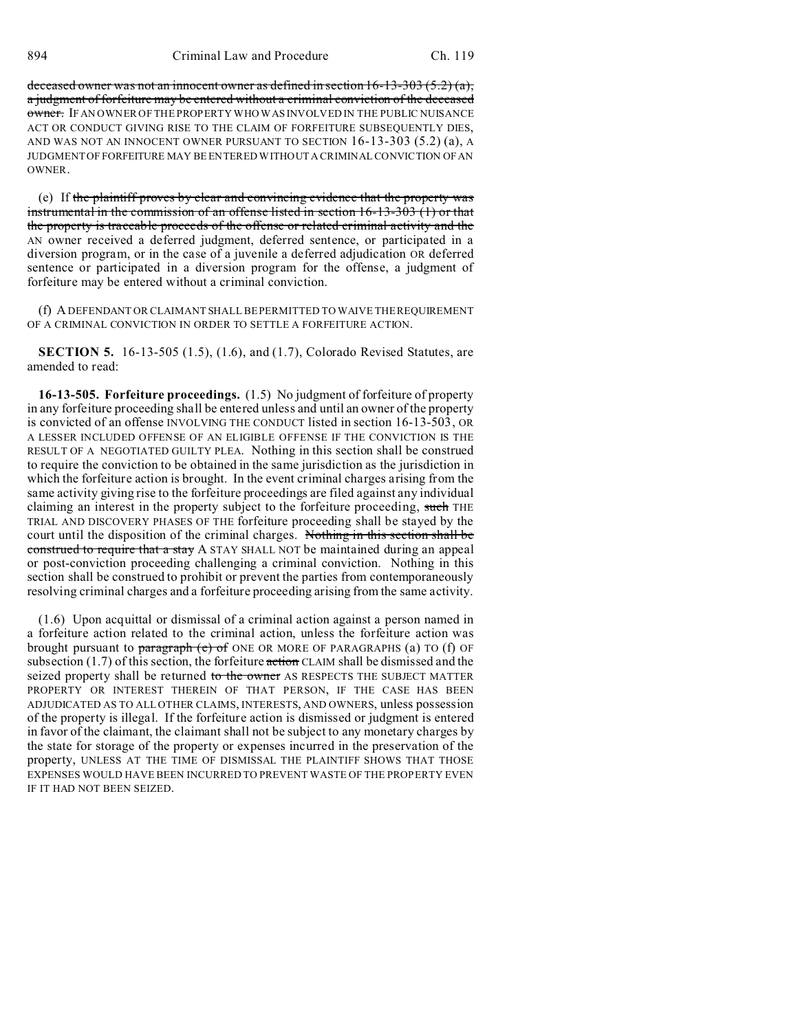deceased owner was not an innocent owner as defined in section  $16-13-303(5.2)(a)$ , a judgment of forfeiture may be entered without a criminal conviction of the deceased owner. IF AN OWNER OF THE PROPERTY WHO WAS INVOLVED IN THE PUBLIC NUISANCE ACT OR CONDUCT GIVING RISE TO THE CLAIM OF FORFEITURE SUBSEQUENTLY DIES, AND WAS NOT AN INNOCENT OWNER PURSUANT TO SECTION 16-13-303 (5.2) (a), A JUDGMENT OF FORFEITURE MAY BE ENTERED WITHOUT A CRIMINAL CONVICTION OF AN **OWNER** 

(e) If the plaintiff proves by clear and convincing evidence that the property was instrumental in the commission of an offense listed in section 16-13-303 (1) or that the property is traceable proceeds of the offense or related criminal activity and the AN owner received a deferred judgment, deferred sentence, or participated in a diversion program, or in the case of a juvenile a deferred adjudication OR deferred sentence or participated in a diversion program for the offense, a judgment of forfeiture may be entered without a criminal conviction.

(f) A DEFENDANT OR CLAIMANT SHALL BE PERMITTED TO WAIVE THE REQUIREMENT OF A CRIMINAL CONVICTION IN ORDER TO SETTLE A FORFEITURE ACTION.

**SECTION 5.** 16-13-505 (1.5), (1.6), and (1.7), Colorado Revised Statutes, are amended to read:

**16-13-505. Forfeiture proceedings.** (1.5) No judgment of forfeiture of property in any forfeiture proceeding shall be entered unless and until an owner of the property is convicted of an offense INVOLVING THE CONDUCT listed in section 16-13-503, OR A LESSER INCLUDED OFFENSE OF AN ELIGIBLE OFFENSE IF THE CONVICTION IS THE RESULT OF A NEGOTIATED GUILTY PLEA. Nothing in this section shall be construed to require the conviction to be obtained in the same jurisdiction as the jurisdiction in which the forfeiture action is brought. In the event criminal charges arising from the same activity giving rise to the forfeiture proceedings are filed against any individual claiming an interest in the property subject to the forfeiture proceeding, such THE TRIAL AND DISCOVERY PHASES OF THE forfeiture proceeding shall be stayed by the court until the disposition of the criminal charges. Nothing in this section shall be construed to require that a stay A STAY SHALL NOT be maintained during an appeal or post-conviction proceeding challenging a criminal conviction. Nothing in this section shall be construed to prohibit or prevent the parties from contemporaneously resolving criminal charges and a forfeiture proceeding arising from the same activity.

(1.6) Upon acquittal or dismissal of a criminal action against a person named in a forfeiture action related to the criminal action, unless the forfeiture action was brought pursuant to paragraph  $(e)$  of ONE OR MORE OF PARAGRAPHS (a) TO (f) OF subsection  $(1.7)$  of this section, the forfeiture action CLAIM shall be dismissed and the seized property shall be returned to the owner AS RESPECTS THE SUBJECT MATTER PROPERTY OR INTEREST THEREIN OF THAT PERSON, IF THE CASE HAS BEEN ADJUDICATED AS TO ALL OTHER CLAIMS, INTERESTS, AND OWNERS, unless possession of the property is illegal. If the forfeiture action is dismissed or judgment is entered in favor of the claimant, the claimant shall not be subject to any monetary charges by the state for storage of the property or expenses incurred in the preservation of the property, UNLESS AT THE TIME OF DISMISSAL THE PLAINTIFF SHOWS THAT THOSE EXPENSES WOULD HAVE BEEN INCURRED TO PREVENT WASTE OF THE PROPERTY EVEN IF IT HAD NOT BEEN SEIZED.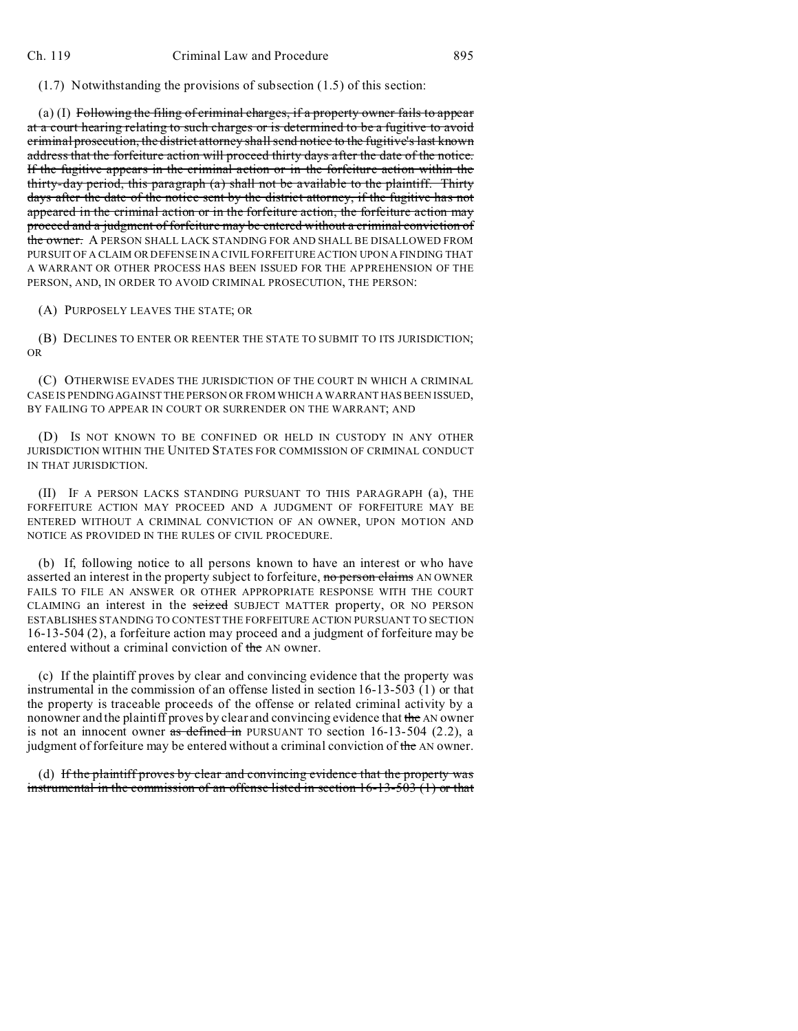(1.7) Notwithstanding the provisions of subsection (1.5) of this section:

(a) (I) Following the filing of criminal charges, if a property owner fails to appear at a court hearing relating to such charges or is determined to be a fugitive to avoid criminal prosecution, the district attorney shall send notice to the fugitive's last known address that the forfeiture action will proceed thirty days after the date of the notice. If the fugitive appears in the criminal action or in the forfeiture action within the thirty-day period, this paragraph (a) shall not be available to the plaintiff. Thirty days after the date of the notice sent by the district attorney, if the fugitive has not appeared in the criminal action or in the forfeiture action, the forfeiture action may proceed and a judgment of forfeiture may be entered without a criminal conviction of the owner. A PERSON SHALL LACK STANDING FOR AND SHALL BE DISALLOWED FROM PURSUIT OF A CLAIM OR DEFENSE IN A CIVIL FORFEITURE ACTION UPON A FINDING THAT A WARRANT OR OTHER PROCESS HAS BEEN ISSUED FOR THE APPREHENSION OF THE PERSON, AND, IN ORDER TO AVOID CRIMINAL PROSECUTION, THE PERSON:

(A) PURPOSELY LEAVES THE STATE; OR

(B) DECLINES TO ENTER OR REENTER THE STATE TO SUBMIT TO ITS JURISDICTION; OR

(C) OTHERWISE EVADES THE JURISDICTION OF THE COURT IN WHICH A CRIMINAL CASE IS PENDING AGAINST THE PERSON OR FROM WHICH A WARRANT HAS BEEN ISSUED, BY FAILING TO APPEAR IN COURT OR SURRENDER ON THE WARRANT; AND

(D) IS NOT KNOWN TO BE CONFINED OR HELD IN CUSTODY IN ANY OTHER JURISDICTION WITHIN THE UNITED STATES FOR COMMISSION OF CRIMINAL CONDUCT IN THAT JURISDICTION.

(II) IF A PERSON LACKS STANDING PURSUANT TO THIS PARAGRAPH (a), THE FORFEITURE ACTION MAY PROCEED AND A JUDGMENT OF FORFEITURE MAY BE ENTERED WITHOUT A CRIMINAL CONVICTION OF AN OWNER, UPON MOTION AND NOTICE AS PROVIDED IN THE RULES OF CIVIL PROCEDURE.

(b) If, following notice to all persons known to have an interest or who have asserted an interest in the property subject to forfeiture, no person claims AN OWNER FAILS TO FILE AN ANSWER OR OTHER APPROPRIATE RESPONSE WITH THE COURT CLAIMING an interest in the seized SUBJECT MATTER property, OR NO PERSON ESTABLISHES STANDING TO CONTEST THE FORFEITURE ACTION PURSUANT TO SECTION 16-13-504 (2), a forfeiture action may proceed and a judgment of forfeiture may be entered without a criminal conviction of the AN owner.

(c) If the plaintiff proves by clear and convincing evidence that the property was instrumental in the commission of an offense listed in section 16-13-503 (1) or that the property is traceable proceeds of the offense or related criminal activity by a nonowner and the plaintiff proves by clear and convincing evidence that the AN owner is not an innocent owner as defined in PURSUANT TO section  $16-13-504$  (2.2), a judgment of forfeiture may be entered without a criminal conviction of the AN owner.

(d) If the plaintiff proves by clear and convincing evidence that the property was instrumental in the commission of an offense listed in section 16-13-503 (1) or that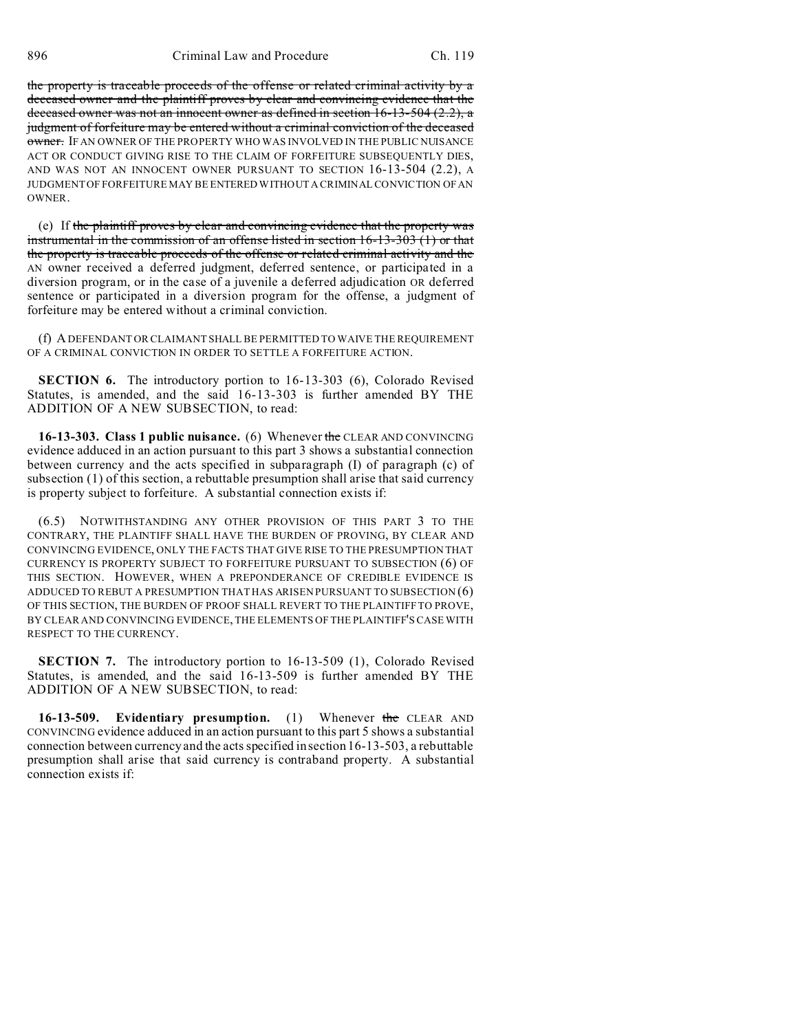the property is traceable proceeds of the offense or related criminal activity by a deceased owner and the plaintiff proves by clear and convincing evidence that the deceased owner was not an innocent owner as defined in section 16-13-504 (2.2), a judgment of forfeiture may be entered without a criminal conviction of the deceased owner. IF AN OWNER OF THE PROPERTY WHO WAS INVOLVED IN THE PUBLIC NUISANCE ACT OR CONDUCT GIVING RISE TO THE CLAIM OF FORFEITURE SUBSEQUENTLY DIES, AND WAS NOT AN INNOCENT OWNER PURSUANT TO SECTION 16-13-504 (2.2), A JUDGMENT OF FORFEITURE MAY BE ENTERED WITHOUT A CRIMINAL CONVICTION OF AN **OWNER** 

(e) If the plaintiff proves by clear and convincing evidence that the property was instrumental in the commission of an offense listed in section 16-13-303 (1) or that the property is traceable proceeds of the offense or related criminal activity and the AN owner received a deferred judgment, deferred sentence, or participated in a diversion program, or in the case of a juvenile a deferred adjudication OR deferred sentence or participated in a diversion program for the offense, a judgment of forfeiture may be entered without a criminal conviction.

(f) A DEFENDANT OR CLAIMANT SHALL BE PERMITTED TO WAIVE THE REQUIREMENT OF A CRIMINAL CONVICTION IN ORDER TO SETTLE A FORFEITURE ACTION.

**SECTION 6.** The introductory portion to 16-13-303 (6), Colorado Revised Statutes, is amended, and the said 16-13-303 is further amended BY THE ADDITION OF A NEW SUBSECTION, to read:

**16-13-303. Class 1 public nuisance.** (6) Whenever the CLEAR AND CONVINCING evidence adduced in an action pursuant to this part 3 shows a substantial connection between currency and the acts specified in subparagraph (I) of paragraph (c) of subsection (1) of this section, a rebuttable presumption shall arise that said currency is property subject to forfeiture. A substantial connection exists if:

(6.5) NOTWITHSTANDING ANY OTHER PROVISION OF THIS PART 3 TO THE CONTRARY, THE PLAINTIFF SHALL HAVE THE BURDEN OF PROVING, BY CLEAR AND CONVINCING EVIDENCE, ONLY THE FACTS THAT GIVE RISE TO THE PRESUMPTION THAT CURRENCY IS PROPERTY SUBJECT TO FORFEITURE PURSUANT TO SUBSECTION (6) OF THIS SECTION. HOWEVER, WHEN A PREPONDERANCE OF CREDIBLE EVIDENCE IS ADDUCED TO REBUT A PRESUMPTION THAT HAS ARISEN PURSUANT TO SUBSECTION (6) OF THIS SECTION, THE BURDEN OF PROOF SHALL REVERT TO THE PLAINTIFF TO PROVE, BY CLEAR AND CONVINCING EVIDENCE, THE ELEMENTS OF THE PLAINTIFF'S CASE WITH RESPECT TO THE CURRENCY.

**SECTION 7.** The introductory portion to 16-13-509 (1), Colorado Revised Statutes, is amended, and the said 16-13-509 is further amended BY THE ADDITION OF A NEW SUBSECTION, to read:

**16-13-509. Evidentiary presumption.** (1) Whenever the CLEAR AND CONVINCING evidence adduced in an action pursuant to this part 5 shows a substantial connection between currency and the acts specified in section 16-13-503, a rebuttable presumption shall arise that said currency is contraband property. A substantial connection exists if: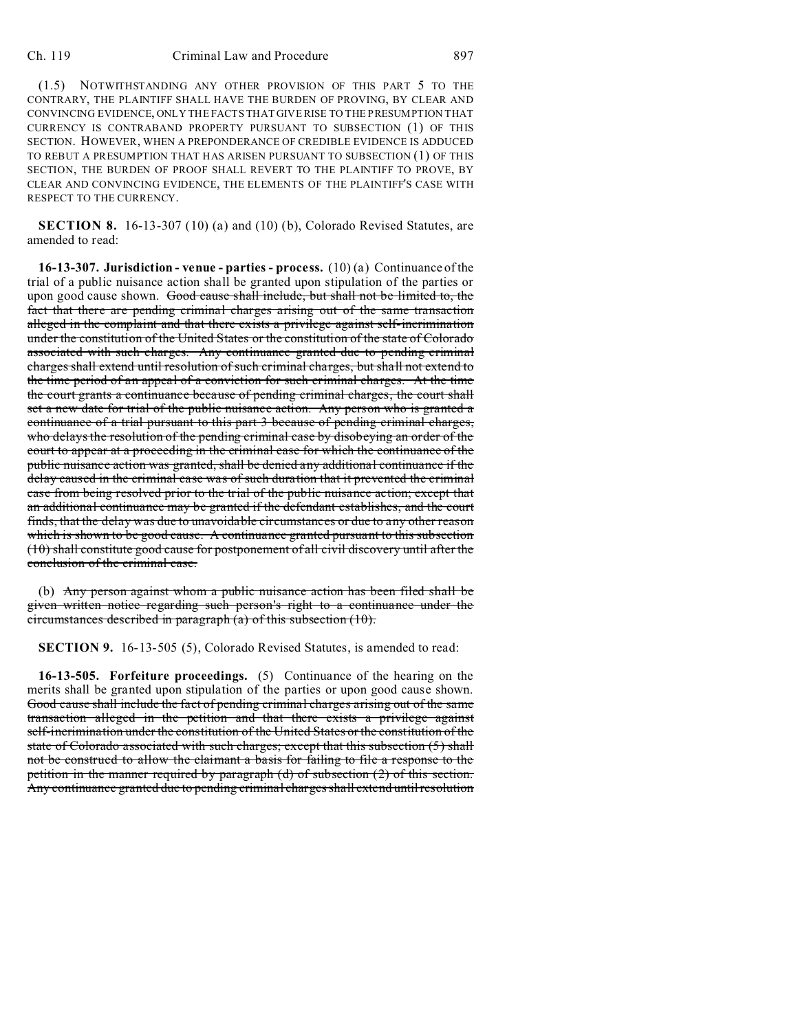(1.5) NOTWITHSTANDING ANY OTHER PROVISION OF THIS PART 5 TO THE CONTRARY, THE PLAINTIFF SHALL HAVE THE BURDEN OF PROVING, BY CLEAR AND CONVINCING EVIDENCE, ONLY THE FACTS THAT GIVE RISE TO THE PRESUMPTION THAT CURRENCY IS CONTRABAND PROPERTY PURSUANT TO SUBSECTION (1) OF THIS SECTION. HOWEVER, WHEN A PREPONDERANCE OF CREDIBLE EVIDENCE IS ADDUCED TO REBUT A PRESUMPTION THAT HAS ARISEN PURSUANT TO SUBSECTION (1) OF THIS SECTION, THE BURDEN OF PROOF SHALL REVERT TO THE PLAINTIFF TO PROVE, BY CLEAR AND CONVINCING EVIDENCE, THE ELEMENTS OF THE PLAINTIFF'S CASE WITH RESPECT TO THE CURRENCY.

**SECTION 8.** 16-13-307 (10) (a) and (10) (b), Colorado Revised Statutes, are amended to read:

**16-13-307. Jurisdiction - venue - parties - process.** (10) (a) Continuance of the trial of a public nuisance action shall be granted upon stipulation of the parties or upon good cause shown. Good cause shall include, but shall not be limited to, the fact that there are pending criminal charges arising out of the same transaction alleged in the complaint and that there exists a privilege against self-incrimination under the constitution of the United States or the constitution of the state of Colorado associated with such charges. Any continuance granted due to pending criminal charges shall extend until resolution of such criminal charges, but shall not extend to the time period of an appeal of a conviction for such criminal charges. At the time the court grants a continuance because of pending criminal charges, the court shall set a new date for trial of the public nuisance action. Any person who is granted a continuance of a trial pursuant to this part 3 because of pending criminal charges, who delays the resolution of the pending criminal case by disobeying an order of the court to appear at a proceeding in the criminal case for which the continuance of the public nuisance action was granted, shall be denied any additional continuance if the delay caused in the criminal case was of such duration that it prevented the criminal case from being resolved prior to the trial of the public nuisance action; except that an additional continuance may be granted if the defendant establishes, and the court finds, that the delay was due to unavoidable circumstances or due to any other reason which is shown to be good cause. A continuance granted pursuant to this subsection (10) shall constitute good cause for postponement of all civil discovery until after the conclusion of the criminal case.

(b) Any person against whom a public nuisance action has been filed shall be given written notice regarding such person's right to a continuance under the circumstances described in paragraph (a) of this subsection (10).

**SECTION 9.** 16-13-505 (5), Colorado Revised Statutes, is amended to read:

**16-13-505. Forfeiture proceedings.** (5) Continuance of the hearing on the merits shall be granted upon stipulation of the parties or upon good cause shown. Good cause shall include the fact of pending criminal charges arising out of the same transaction alleged in the petition and that there exists a privilege against self-incrimination under the constitution of the United States or the constitution of the state of Colorado associated with such charges; except that this subsection (5) shall not be construed to allow the claimant a basis for failing to file a response to the petition in the manner required by paragraph (d) of subsection (2) of this section. Any continuance granted due to pending criminal charges shall extend until resolution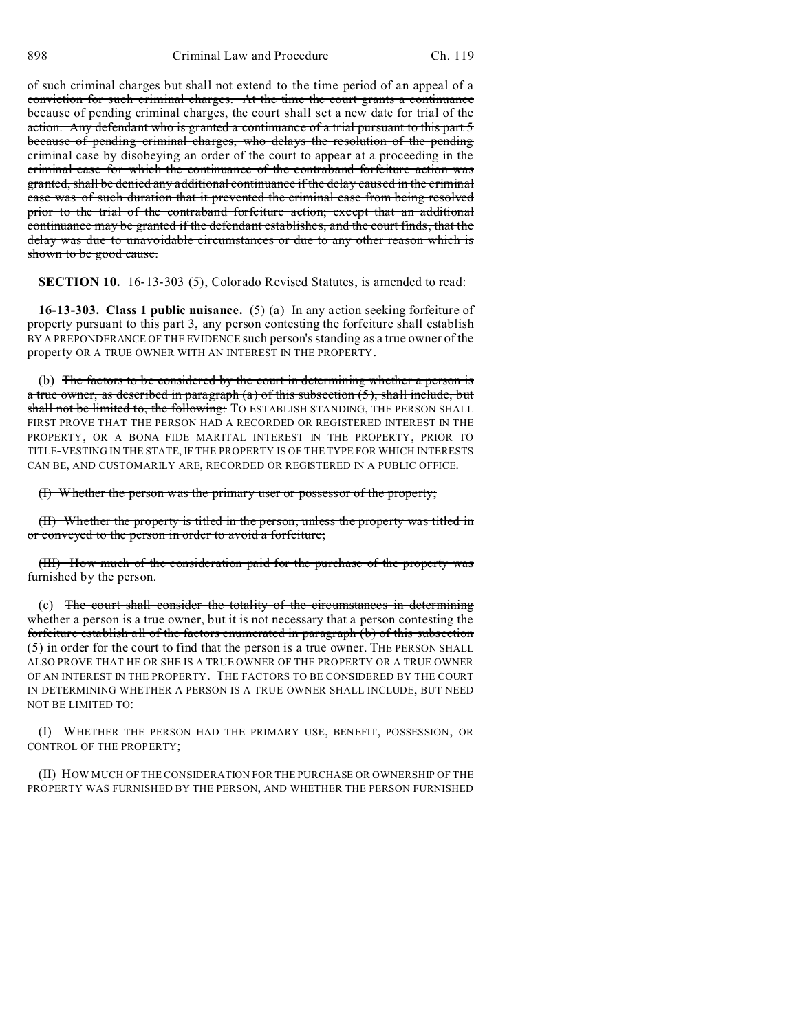of such criminal charges but shall not extend to the time period of an appeal of a conviction for such criminal charges. At the time the court grants a continuance because of pending criminal charges, the court shall set a new date for trial of the action. Any defendant who is granted a continuance of a trial pursuant to this part 5 because of pending criminal charges, who delays the resolution of the pending criminal case by disobeying an order of the court to appear at a proceeding in the criminal case for which the continuance of the contraband forfeiture action was granted, shall be denied any additional continuance if the delay caused in the criminal case was of such duration that it prevented the criminal case from being resolved prior to the trial of the contraband forfeiture action; except that an additional continuance may be granted if the defendant establishes, and the court finds, that the delay was due to unavoidable circumstances or due to any other reason which is shown to be good cause.

**SECTION 10.** 16-13-303 (5), Colorado Revised Statutes, is amended to read:

**16-13-303. Class 1 public nuisance.** (5) (a) In any action seeking forfeiture of property pursuant to this part 3, any person contesting the forfeiture shall establish BY A PREPONDERANCE OF THE EVIDENCE such person's standing as a true owner of the property OR A TRUE OWNER WITH AN INTEREST IN THE PROPERTY.

(b) The factors to be considered by the court in determining whether a person is a true owner, as described in paragraph  $(a)$  of this subsection  $(5)$ , shall include, but shall not be limited to, the following: TO ESTABLISH STANDING, THE PERSON SHALL FIRST PROVE THAT THE PERSON HAD A RECORDED OR REGISTERED INTEREST IN THE PROPERTY, OR A BONA FIDE MARITAL INTEREST IN THE PROPERTY, PRIOR TO TITLE-VESTING IN THE STATE, IF THE PROPERTY IS OF THE TYPE FOR WHICH INTERESTS CAN BE, AND CUSTOMARILY ARE, RECORDED OR REGISTERED IN A PUBLIC OFFICE.

(I) Whether the person was the primary user or possessor of the property;

(II) Whether the property is titled in the person, unless the property was titled in or conveyed to the person in order to avoid a forfeiture;

(III) How much of the consideration paid for the purchase of the property was furnished by the person.

(c) The court shall consider the totality of the circumstances in determining whether a person is a true owner, but it is not necessary that a person contesting the forfeiture establish all of the factors enumerated in paragraph (b) of this subsection (5) in order for the court to find that the person is a true owner. THE PERSON SHALL ALSO PROVE THAT HE OR SHE IS A TRUE OWNER OF THE PROPERTY OR A TRUE OWNER OF AN INTEREST IN THE PROPERTY. THE FACTORS TO BE CONSIDERED BY THE COURT IN DETERMINING WHETHER A PERSON IS A TRUE OWNER SHALL INCLUDE, BUT NEED NOT BE LIMITED TO:

(I) WHETHER THE PERSON HAD THE PRIMARY USE, BENEFIT, POSSESSION, OR CONTROL OF THE PROPERTY;

(II) HOW MUCH OF THE CONSIDERATION FOR THE PURCHASE OR OWNERSHIP OF THE PROPERTY WAS FURNISHED BY THE PERSON, AND WHETHER THE PERSON FURNISHED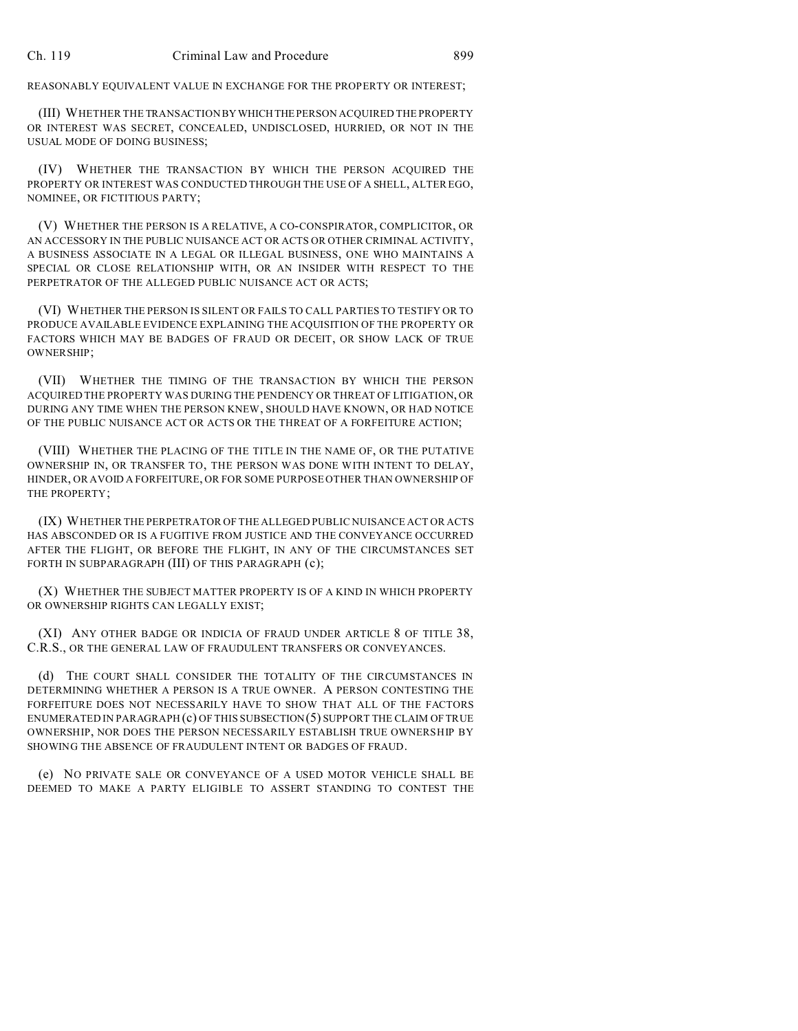REASONABLY EQUIVALENT VALUE IN EXCHANGE FOR THE PROPERTY OR INTEREST;

(III) WHETHER THE TRANSACTION BYWHICHTHEPERSON ACQUIRED THE PROPERTY OR INTEREST WAS SECRET, CONCEALED, UNDISCLOSED, HURRIED, OR NOT IN THE USUAL MODE OF DOING BUSINESS;

(IV) WHETHER THE TRANSACTION BY WHICH THE PERSON ACQUIRED THE PROPERTY OR INTEREST WAS CONDUCTED THROUGH THE USE OF A SHELL, ALTER EGO, NOMINEE, OR FICTITIOUS PARTY;

(V) WHETHER THE PERSON IS A RELATIVE, A CO-CONSPIRATOR, COMPLICITOR, OR AN ACCESSORY IN THE PUBLIC NUISANCE ACT OR ACTS OR OTHER CRIMINAL ACTIVITY, A BUSINESS ASSOCIATE IN A LEGAL OR ILLEGAL BUSINESS, ONE WHO MAINTAINS A SPECIAL OR CLOSE RELATIONSHIP WITH, OR AN INSIDER WITH RESPECT TO THE PERPETRATOR OF THE ALLEGED PUBLIC NUISANCE ACT OR ACTS;

(VI) WHETHER THE PERSON IS SILENT OR FAILS TO CALL PARTIES TO TESTIFY OR TO PRODUCE AVAILABLE EVIDENCE EXPLAINING THE ACQUISITION OF THE PROPERTY OR FACTORS WHICH MAY BE BADGES OF FRAUD OR DECEIT, OR SHOW LACK OF TRUE OWNERSHIP;

(VII) WHETHER THE TIMING OF THE TRANSACTION BY WHICH THE PERSON ACQUIRED THE PROPERTY WAS DURING THE PENDENCY OR THREAT OF LITIGATION, OR DURING ANY TIME WHEN THE PERSON KNEW, SHOULD HAVE KNOWN, OR HAD NOTICE OF THE PUBLIC NUISANCE ACT OR ACTS OR THE THREAT OF A FORFEITURE ACTION;

(VIII) WHETHER THE PLACING OF THE TITLE IN THE NAME OF, OR THE PUTATIVE OWNERSHIP IN, OR TRANSFER TO, THE PERSON WAS DONE WITH INTENT TO DELAY, HINDER, OR AVOID A FORFEITURE, OR FOR SOME PURPOSE OTHER THAN OWNERSHIP OF THE PROPERTY;

(IX) WHETHER THE PERPETRATOR OF THE ALLEGED PUBLIC NUISANCE ACT OR ACTS HAS ABSCONDED OR IS A FUGITIVE FROM JUSTICE AND THE CONVEYANCE OCCURRED AFTER THE FLIGHT, OR BEFORE THE FLIGHT, IN ANY OF THE CIRCUMSTANCES SET FORTH IN SUBPARAGRAPH (III) OF THIS PARAGRAPH (c);

(X) WHETHER THE SUBJECT MATTER PROPERTY IS OF A KIND IN WHICH PROPERTY OR OWNERSHIP RIGHTS CAN LEGALLY EXIST;

(XI) ANY OTHER BADGE OR INDICIA OF FRAUD UNDER ARTICLE 8 OF TITLE 38, C.R.S., OR THE GENERAL LAW OF FRAUDULENT TRANSFERS OR CONVEYANCES.

(d) THE COURT SHALL CONSIDER THE TOTALITY OF THE CIRCUMSTANCES IN DETERMINING WHETHER A PERSON IS A TRUE OWNER. A PERSON CONTESTING THE FORFEITURE DOES NOT NECESSARILY HAVE TO SHOW THAT ALL OF THE FACTORS ENUMERATED IN PARAGRAPH $(c)$  OF THIS SUBSECTION $(5)$  SUPPORT THE CLAIM OF TRUE OWNERSHIP, NOR DOES THE PERSON NECESSARILY ESTABLISH TRUE OWNERSHIP BY SHOWING THE ABSENCE OF FRAUDULENT INTENT OR BADGES OF FRAUD.

(e) NO PRIVATE SALE OR CONVEYANCE OF A USED MOTOR VEHICLE SHALL BE DEEMED TO MAKE A PARTY ELIGIBLE TO ASSERT STANDING TO CONTEST THE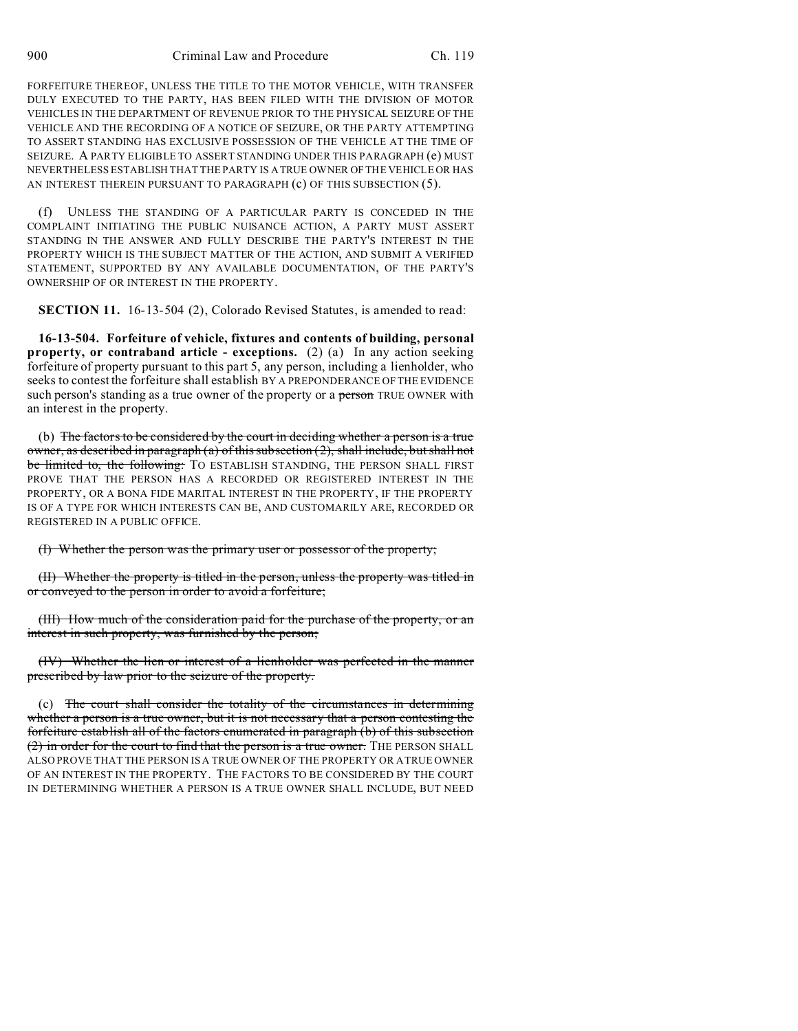FORFEITURE THEREOF, UNLESS THE TITLE TO THE MOTOR VEHICLE, WITH TRANSFER DULY EXECUTED TO THE PARTY, HAS BEEN FILED WITH THE DIVISION OF MOTOR VEHICLES IN THE DEPARTMENT OF REVENUE PRIOR TO THE PHYSICAL SEIZURE OF THE VEHICLE AND THE RECORDING OF A NOTICE OF SEIZURE, OR THE PARTY ATTEMPTING TO ASSERT STANDING HAS EXCLUSIVE POSSESSION OF THE VEHICLE AT THE TIME OF SEIZURE. A PARTY ELIGIBLE TO ASSERT STANDING UNDER THIS PARAGRAPH (e) MUST NEVERTHELESS ESTABLISH THAT THE PARTY IS A TRUE OWNER OF THE VEHICLE OR HAS AN INTEREST THEREIN PURSUANT TO PARAGRAPH (c) OF THIS SUBSECTION (5).

(f) UNLESS THE STANDING OF A PARTICULAR PARTY IS CONCEDED IN THE COMPLAINT INITIATING THE PUBLIC NUISANCE ACTION, A PARTY MUST ASSERT STANDING IN THE ANSWER AND FULLY DESCRIBE THE PARTY'S INTEREST IN THE PROPERTY WHICH IS THE SUBJECT MATTER OF THE ACTION, AND SUBMIT A VERIFIED STATEMENT, SUPPORTED BY ANY AVAILABLE DOCUMENTATION, OF THE PARTY'S OWNERSHIP OF OR INTEREST IN THE PROPERTY.

**SECTION 11.** 16-13-504 (2), Colorado Revised Statutes, is amended to read:

**16-13-504. Forfeiture of vehicle, fixtures and contents of building, personal property, or contraband article - exceptions.** (2) (a) In any action seeking forfeiture of property pursuant to this part 5, any person, including a lienholder, who seeks to contest the forfeiture shall establish BY A PREPONDERANCE OF THE EVIDENCE such person's standing as a true owner of the property or a person TRUE OWNER with an interest in the property.

(b) The factors to be considered by the court in deciding whether a person is a true owner, as described in paragraph (a) of this subsection (2), shall include, but shall not be limited to, the following: TO ESTABLISH STANDING, THE PERSON SHALL FIRST PROVE THAT THE PERSON HAS A RECORDED OR REGISTERED INTEREST IN THE PROPERTY, OR A BONA FIDE MARITAL INTEREST IN THE PROPERTY, IF THE PROPERTY IS OF A TYPE FOR WHICH INTERESTS CAN BE, AND CUSTOMARILY ARE, RECORDED OR REGISTERED IN A PUBLIC OFFICE.

(I) Whether the person was the primary user or possessor of the property;

(II) Whether the property is titled in the person, unless the property was titled in or conveyed to the person in order to avoid a forfeiture;

(III) How much of the consideration paid for the purchase of the property, or an interest in such property, was furnished by the person;

(IV) Whether the lien or interest of a lienholder was perfected in the manner prescribed by law prior to the seizure of the property.

(c) The court shall consider the totality of the circumstances in determining whether a person is a true owner, but it is not necessary that a person contesting the forfeiture establish all of the factors enumerated in paragraph (b) of this subsection (2) in order for the court to find that the person is a true owner. THE PERSON SHALL ALSO PROVE THAT THE PERSON IS A TRUE OWNER OF THE PROPERTY OR A TRUE OWNER OF AN INTEREST IN THE PROPERTY. THE FACTORS TO BE CONSIDERED BY THE COURT IN DETERMINING WHETHER A PERSON IS A TRUE OWNER SHALL INCLUDE, BUT NEED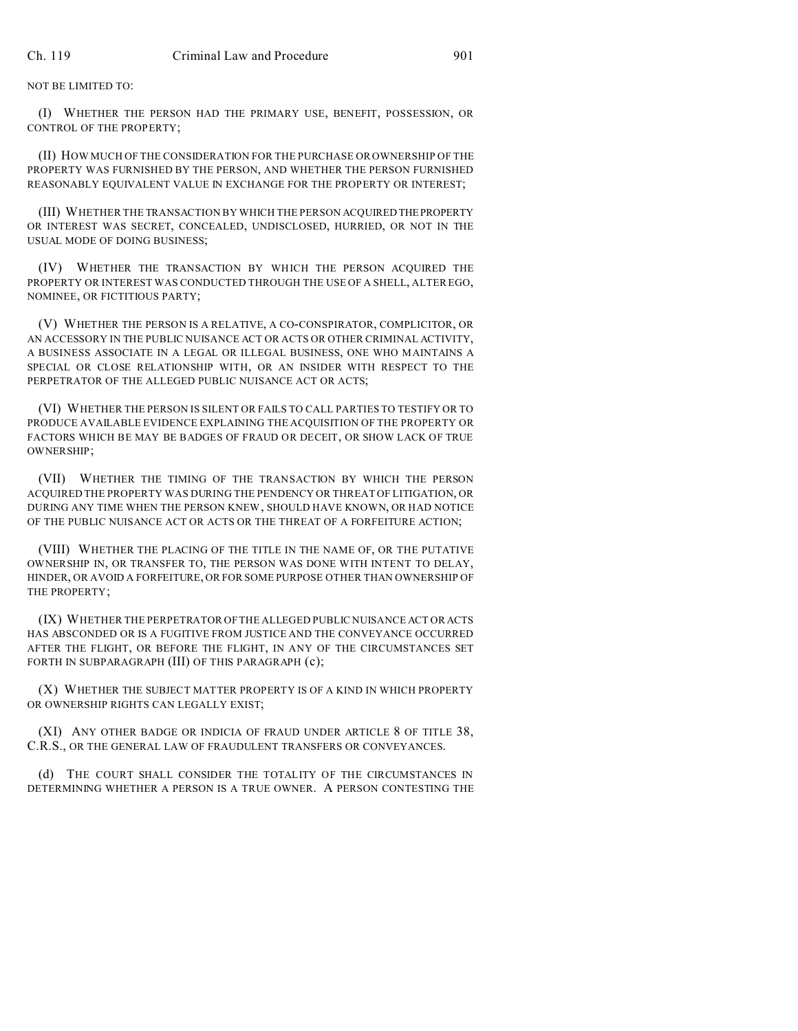NOT BE LIMITED TO:

(I) WHETHER THE PERSON HAD THE PRIMARY USE, BENEFIT, POSSESSION, OR CONTROL OF THE PROPERTY;

(II) HOW MUCH OF THE CONSIDERATION FOR THE PURCHASE OR OWNERSHIP OF THE PROPERTY WAS FURNISHED BY THE PERSON, AND WHETHER THE PERSON FURNISHED REASONABLY EQUIVALENT VALUE IN EXCHANGE FOR THE PROPERTY OR INTEREST;

(III) WHETHER THE TRANSACTION BY WHICH THE PERSON ACQUIRED THEPROPERTY OR INTEREST WAS SECRET, CONCEALED, UNDISCLOSED, HURRIED, OR NOT IN THE USUAL MODE OF DOING BUSINESS;

(IV) WHETHER THE TRANSACTION BY WHICH THE PERSON ACQUIRED THE PROPERTY OR INTEREST WAS CONDUCTED THROUGH THE USE OF A SHELL, ALTER EGO, NOMINEE, OR FICTITIOUS PARTY;

(V) WHETHER THE PERSON IS A RELATIVE, A CO-CONSPIRATOR, COMPLICITOR, OR AN ACCESSORY IN THE PUBLIC NUISANCE ACT OR ACTS OR OTHER CRIMINAL ACTIVITY, A BUSINESS ASSOCIATE IN A LEGAL OR ILLEGAL BUSINESS, ONE WHO MAINTAINS A SPECIAL OR CLOSE RELATIONSHIP WITH, OR AN INSIDER WITH RESPECT TO THE PERPETRATOR OF THE ALLEGED PUBLIC NUISANCE ACT OR ACTS;

(VI) WHETHER THE PERSON IS SILENT OR FAILS TO CALL PARTIES TO TESTIFY OR TO PRODUCE AVAILABLE EVIDENCE EXPLAINING THE ACQUISITION OF THE PROPERTY OR FACTORS WHICH BE MAY BE BADGES OF FRAUD OR DECEIT, OR SHOW LACK OF TRUE OWNERSHIP;

(VII) WHETHER THE TIMING OF THE TRANSACTION BY WHICH THE PERSON ACQUIRED THE PROPERTY WAS DURING THE PENDENCY OR THREAT OF LITIGATION, OR DURING ANY TIME WHEN THE PERSON KNEW, SHOULD HAVE KNOWN, OR HAD NOTICE OF THE PUBLIC NUISANCE ACT OR ACTS OR THE THREAT OF A FORFEITURE ACTION;

(VIII) WHETHER THE PLACING OF THE TITLE IN THE NAME OF, OR THE PUTATIVE OWNERSHIP IN, OR TRANSFER TO, THE PERSON WAS DONE WITH INTENT TO DELAY, HINDER, OR AVOID A FORFEITURE, OR FOR SOME PURPOSE OTHER THAN OWNERSHIP OF THE PROPERTY;

(IX) WHETHER THE PERPETRATOR OF THE ALLEGED PUBLIC NUISANCE ACT OR ACTS HAS ABSCONDED OR IS A FUGITIVE FROM JUSTICE AND THE CONVEYANCE OCCURRED AFTER THE FLIGHT, OR BEFORE THE FLIGHT, IN ANY OF THE CIRCUMSTANCES SET FORTH IN SUBPARAGRAPH (III) OF THIS PARAGRAPH (c);

(X) WHETHER THE SUBJECT MATTER PROPERTY IS OF A KIND IN WHICH PROPERTY OR OWNERSHIP RIGHTS CAN LEGALLY EXIST;

(XI) ANY OTHER BADGE OR INDICIA OF FRAUD UNDER ARTICLE 8 OF TITLE 38, C.R.S., OR THE GENERAL LAW OF FRAUDULENT TRANSFERS OR CONVEYANCES.

(d) THE COURT SHALL CONSIDER THE TOTALITY OF THE CIRCUMSTANCES IN DETERMINING WHETHER A PERSON IS A TRUE OWNER. A PERSON CONTESTING THE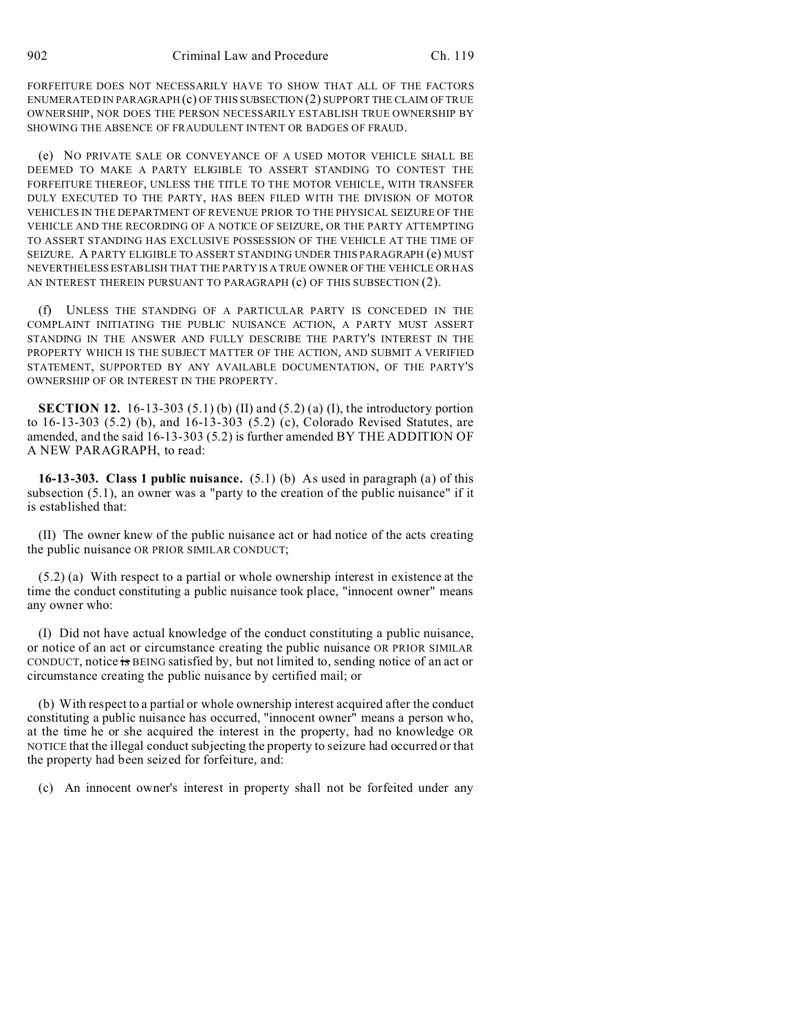FORFEITURE DOES NOT NECESSARILY HAVE TO SHOW THAT ALL OF THE FACTORS ENUMERATED IN PARAGRAPH  $(c)$  OF THIS SUBSECTION  $(2)$  SUPPORT THE CLAIM OF TRUE OWNERSHIP, NOR DOES THE PERSON NECESSARILY ESTABLISH TRUE OWNERSHIP BY SHOWING THE ABSENCE OF FRAUDULENT INTENT OR BADGES OF FRAUD.

(e) NO PRIVATE SALE OR CONVEYANCE OF A USED MOTOR VEHICLE SHALL BE DEEMED TO MAKE A PARTY ELIGIBLE TO ASSERT STANDING TO CONTEST THE FORFEITURE THEREOF, UNLESS THE TITLE TO THE MOTOR VEHICLE, WITH TRANSFER DULY EXECUTED TO THE PARTY, HAS BEEN FILED WITH THE DIVISION OF MOTOR VEHICLES IN THE DEPARTMENT OF REVENUE PRIOR TO THE PHYSICAL SEIZURE OF THE VEHICLE AND THE RECORDING OF A NOTICE OF SEIZURE, OR THE PARTY ATTEMPTING TO ASSERT STANDING HAS EXCLUSIVE POSSESSION OF THE VEHICLE AT THE TIME OF SEIZURE. A PARTY ELIGIBLE TO ASSERT STANDING UNDER THIS PARAGRAPH (e) MUST NEVERTHELESS ESTABLISH THAT THE PARTY IS A TRUE OWNER OF THE VEHICLE OR HAS AN INTEREST THEREIN PURSUANT TO PARAGRAPH (c) OF THIS SUBSECTION (2).

(f) UNLESS THE STANDING OF A PARTICULAR PARTY IS CONCEDED IN THE COMPLAINT INITIATING THE PUBLIC NUISANCE ACTION, A PARTY MUST ASSERT STANDING IN THE ANSWER AND FULLY DESCRIBE THE PARTY'S INTEREST IN THE PROPERTY WHICH IS THE SUBJECT MATTER OF THE ACTION, AND SUBMIT A VERIFIED STATEMENT, SUPPORTED BY ANY AVAILABLE DOCUMENTATION, OF THE PARTY'S OWNERSHIP OF OR INTEREST IN THE PROPERTY.

**SECTION 12.** 16-13-303 (5.1) (b) (II) and (5.2) (a) (I), the introductory portion to 16-13-303 (5.2) (b), and 16-13-303 (5.2) (c), Colorado Revised Statutes, are amended, and the said 16-13-303 (5.2) is further amended BY THE ADDITION OF A NEW PARAGRAPH, to read:

**16-13-303. Class 1 public nuisance.** (5.1) (b) As used in paragraph (a) of this subsection (5.1), an owner was a "party to the creation of the public nuisance" if it is established that:

(II) The owner knew of the public nuisance act or had notice of the acts creating the public nuisance OR PRIOR SIMILAR CONDUCT;

(5.2) (a) With respect to a partial or whole ownership interest in existence at the time the conduct constituting a public nuisance took place, "innocent owner" means any owner who:

(I) Did not have actual knowledge of the conduct constituting a public nuisance, or notice of an act or circumstance creating the public nuisance OR PRIOR SIMILAR CONDUCT, notice is BEING satisfied by, but not limited to, sending notice of an act or circumstance creating the public nuisance by certified mail; or

(b) With respect to a partial or whole ownership interest acquired after the conduct constituting a public nuisance has occurred, "innocent owner" means a person who, at the time he or she acquired the interest in the property, had no knowledge OR NOTICE that the illegal conduct subjecting the property to seizure had occurred or that the property had been seized for forfeiture, and:

(c) An innocent owner's interest in property shall not be forfeited under any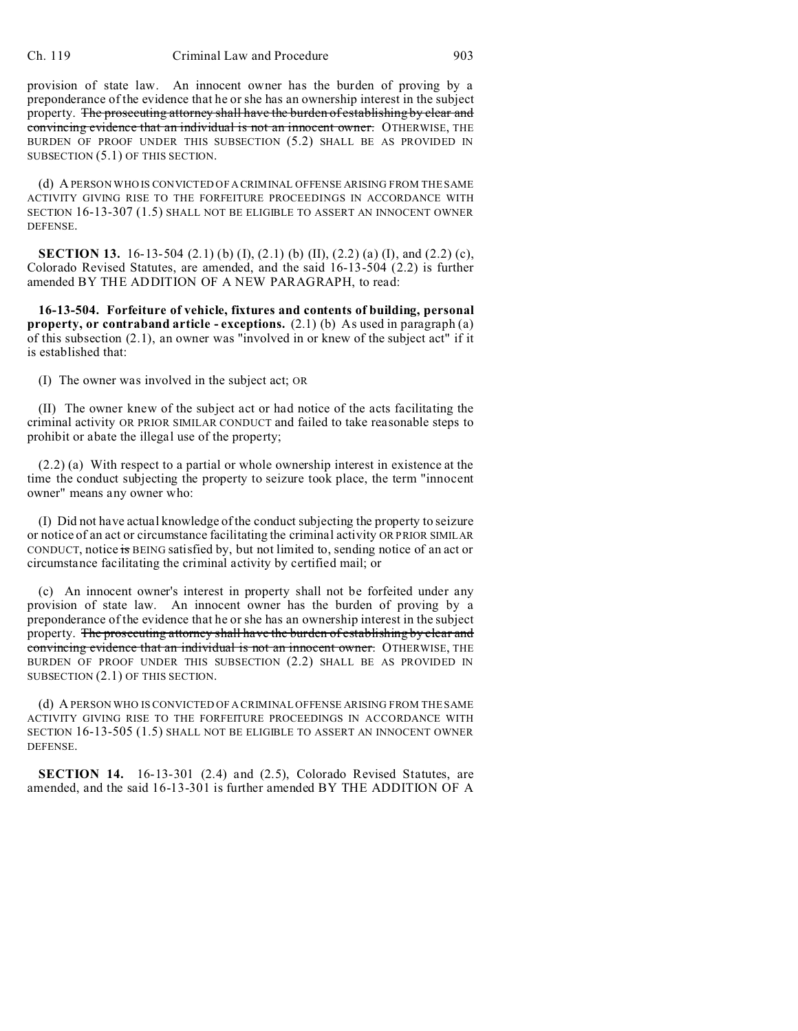provision of state law. An innocent owner has the burden of proving by a preponderance of the evidence that he or she has an ownership interest in the subject property. The prosecuting attorney shall have the burden of establishing by clear and convincing evidence that an individual is not an innocent owner. OTHERWISE, THE BURDEN OF PROOF UNDER THIS SUBSECTION (5.2) SHALL BE AS PROVIDED IN SUBSECTION (5.1) OF THIS SECTION.

(d) A PERSON WHO IS CONVICTED OF A CRIMINAL OFFENSE ARISING FROM THE SAME ACTIVITY GIVING RISE TO THE FORFEITURE PROCEEDINGS IN ACCORDANCE WITH SECTION 16-13-307 (1.5) SHALL NOT BE ELIGIBLE TO ASSERT AN INNOCENT OWNER DEFENSE.

**SECTION 13.** 16-13-504 (2.1) (b) (I), (2.1) (b) (II), (2.2) (a) (I), and (2.2) (c), Colorado Revised Statutes, are amended, and the said 16-13-504 (2.2) is further amended BY THE ADDITION OF A NEW PARAGRAPH, to read:

**16-13-504. Forfeiture of vehicle, fixtures and contents of building, personal property, or contraband article - exceptions.** (2.1) (b) As used in paragraph (a) of this subsection (2.1), an owner was "involved in or knew of the subject act" if it is established that:

(I) The owner was involved in the subject act; OR

(II) The owner knew of the subject act or had notice of the acts facilitating the criminal activity OR PRIOR SIMILAR CONDUCT and failed to take reasonable steps to prohibit or abate the illegal use of the property;

(2.2) (a) With respect to a partial or whole ownership interest in existence at the time the conduct subjecting the property to seizure took place, the term "innocent owner" means any owner who:

(I) Did not have actual knowledge of the conduct subjecting the property to seizure or notice of an act or circumstance facilitating the criminal activity OR PRIOR SIMILAR CONDUCT, notice is BEING satisfied by, but not limited to, sending notice of an act or circumstance facilitating the criminal activity by certified mail; or

(c) An innocent owner's interest in property shall not be forfeited under any provision of state law. An innocent owner has the burden of proving by a preponderance of the evidence that he or she has an ownership interest in the subject property. The prosecuting attorney shall have the burden of establishing by clear and convincing evidence that an individual is not an innocent owner. OTHERWISE, THE BURDEN OF PROOF UNDER THIS SUBSECTION (2.2) SHALL BE AS PROVIDED IN SUBSECTION (2.1) OF THIS SECTION.

(d) A PERSON WHO IS CONVICTED OF A CRIMINAL OFFENSE ARISING FROM THE SAME ACTIVITY GIVING RISE TO THE FORFEITURE PROCEEDINGS IN ACCORDANCE WITH SECTION 16-13-505 (1.5) SHALL NOT BE ELIGIBLE TO ASSERT AN INNOCENT OWNER DEFENSE.

**SECTION 14.** 16-13-301 (2.4) and (2.5), Colorado Revised Statutes, are amended, and the said 16-13-301 is further amended BY THE ADDITION OF A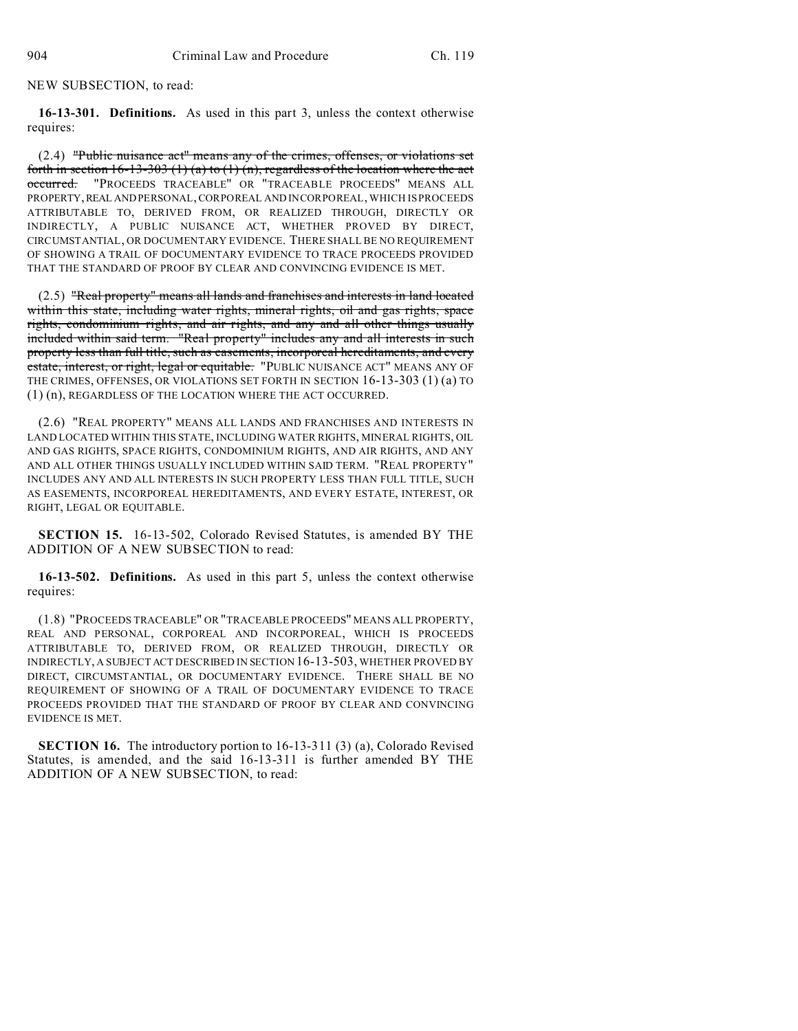NEW SUBSECTION, to read:

**16-13-301. Definitions.** As used in this part 3, unless the context otherwise requires:

(2.4) "Public nuisance act" means any of the crimes, offenses, or violations set forth in section  $16-13-303$  (1) (a) to (1) (n), regardless of the location where the act occurred. "PROCEEDS TRACEABLE" OR "TRACEABLE PROCEEDS" MEANS ALL PROPERTY,REAL AND PERSONAL, CORPOREAL AND INCORPOREAL, WHICH IS PROCEEDS ATTRIBUTABLE TO, DERIVED FROM, OR REALIZED THROUGH, DIRECTLY OR INDIRECTLY, A PUBLIC NUISANCE ACT, WHETHER PROVED BY DIRECT, CIRCUMSTANTIAL, OR DOCUMENTARY EVIDENCE. THERE SHALL BE NO REQUIREMENT OF SHOWING A TRAIL OF DOCUMENTARY EVIDENCE TO TRACE PROCEEDS PROVIDED THAT THE STANDARD OF PROOF BY CLEAR AND CONVINCING EVIDENCE IS MET.

(2.5) "Real property" means all lands and franchises and interests in land located within this state, including water rights, mineral rights, oil and gas rights, space rights, condominium rights, and air rights, and any and all other things usually included within said term. "Real property" includes any and all interests in such property less than full title, such as easements, incorporeal hereditaments, and every estate, interest, or right, legal or equitable. "PUBLIC NUISANCE ACT" MEANS ANY OF THE CRIMES, OFFENSES, OR VIOLATIONS SET FORTH IN SECTION 16-13-303 (1) (a) TO (1) (n), REGARDLESS OF THE LOCATION WHERE THE ACT OCCURRED.

(2.6) "REAL PROPERTY" MEANS ALL LANDS AND FRANCHISES AND INTERESTS IN LAND LOCATED WITHIN THIS STATE, INCLUDING WATER RIGHTS, MINERAL RIGHTS, OIL AND GAS RIGHTS, SPACE RIGHTS, CONDOMINIUM RIGHTS, AND AIR RIGHTS, AND ANY AND ALL OTHER THINGS USUALLY INCLUDED WITHIN SAID TERM. "REAL PROPERTY" INCLUDES ANY AND ALL INTERESTS IN SUCH PROPERTY LESS THAN FULL TITLE, SUCH AS EASEMENTS, INCORPOREAL HEREDITAMENTS, AND EVERY ESTATE, INTEREST, OR RIGHT, LEGAL OR EQUITABLE.

**SECTION 15.** 16-13-502, Colorado Revised Statutes, is amended BY THE ADDITION OF A NEW SUBSECTION to read:

**16-13-502. Definitions.** As used in this part 5, unless the context otherwise requires:

(1.8) "PROCEEDS TRACEABLE" OR "TRACEABLE PROCEEDS" MEANS ALL PROPERTY, REAL AND PERSONAL, CORPOREAL AND INCORPOREAL, WHICH IS PROCEEDS ATTRIBUTABLE TO, DERIVED FROM, OR REALIZED THROUGH, DIRECTLY OR INDIRECTLY, A SUBJECT ACT DESCRIBED IN SECTION 16-13-503, WHETHER PROVED BY DIRECT, CIRCUMSTANTIAL, OR DOCUMENTARY EVIDENCE. THERE SHALL BE NO REQUIREMENT OF SHOWING OF A TRAIL OF DOCUMENTARY EVIDENCE TO TRACE PROCEEDS PROVIDED THAT THE STANDARD OF PROOF BY CLEAR AND CONVINCING EVIDENCE IS MET.

**SECTION 16.** The introductory portion to 16-13-311 (3) (a), Colorado Revised Statutes, is amended, and the said 16-13-311 is further amended BY THE ADDITION OF A NEW SUBSECTION, to read: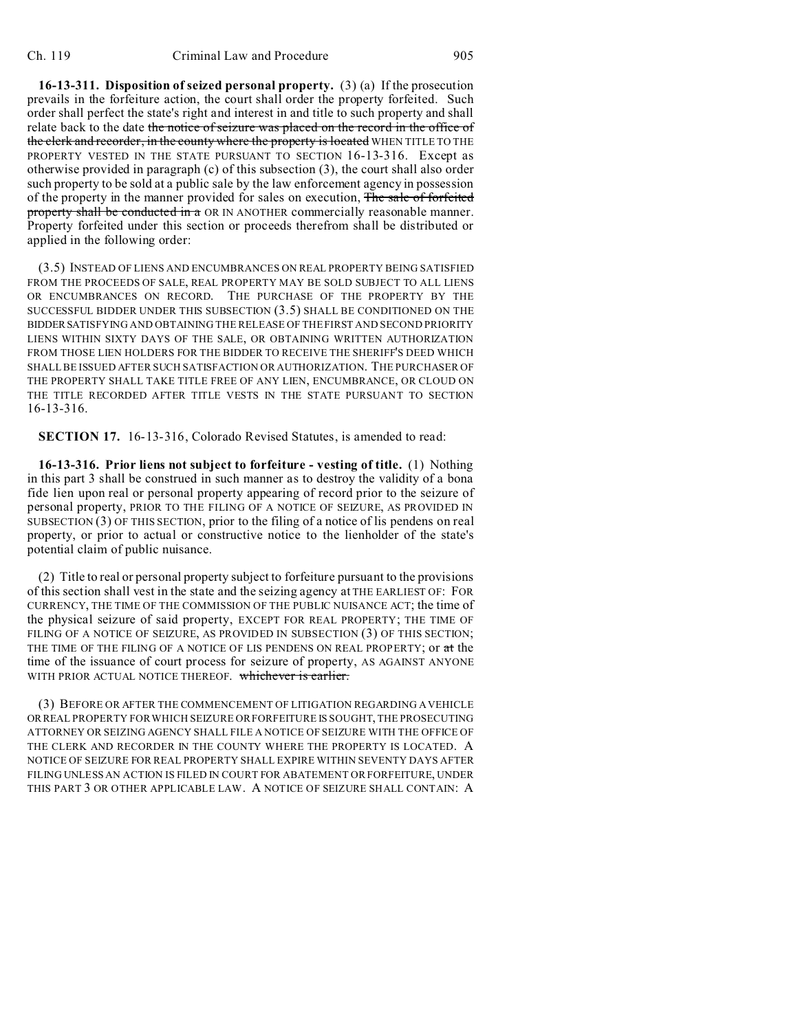**16-13-311. Disposition of seized personal property.** (3) (a) If the prosecution prevails in the forfeiture action, the court shall order the property forfeited. Such order shall perfect the state's right and interest in and title to such property and shall relate back to the date the notice of seizure was placed on the record in the office of the clerk and recorder, in the county where the property is located WHEN TITLE TO THE PROPERTY VESTED IN THE STATE PURSUANT TO SECTION 16-13-316. Except as otherwise provided in paragraph (c) of this subsection (3), the court shall also order such property to be sold at a public sale by the law enforcement agency in possession of the property in the manner provided for sales on execution, The sale of forfeited property shall be conducted in a OR IN ANOTHER commercially reasonable manner. Property forfeited under this section or proceeds therefrom shall be distributed or applied in the following order:

(3.5) INSTEAD OF LIENS AND ENCUMBRANCES ON REAL PROPERTY BEING SATISFIED FROM THE PROCEEDS OF SALE, REAL PROPERTY MAY BE SOLD SUBJECT TO ALL LIENS OR ENCUMBRANCES ON RECORD. THE PURCHASE OF THE PROPERTY BY THE SUCCESSFUL BIDDER UNDER THIS SUBSECTION (3.5) SHALL BE CONDITIONED ON THE BIDDERSATISFYING AND OBTAINING THE RELEASE OF THE FIRST AND SECOND PRIORITY LIENS WITHIN SIXTY DAYS OF THE SALE, OR OBTAINING WRITTEN AUTHORIZATION FROM THOSE LIEN HOLDERS FOR THE BIDDER TO RECEIVE THE SHERIFF'S DEED WHICH SHALL BE ISSUED AFTER SUCH SATISFACTION OR AUTHORIZATION. THE PURCHASER OF THE PROPERTY SHALL TAKE TITLE FREE OF ANY LIEN, ENCUMBRANCE, OR CLOUD ON THE TITLE RECORDED AFTER TITLE VESTS IN THE STATE PURSUANT TO SECTION 16-13-316.

**SECTION 17.** 16-13-316, Colorado Revised Statutes, is amended to read:

**16-13-316. Prior liens not subject to forfeiture - vesting of title.** (1) Nothing in this part 3 shall be construed in such manner as to destroy the validity of a bona fide lien upon real or personal property appearing of record prior to the seizure of personal property, PRIOR TO THE FILING OF A NOTICE OF SEIZURE, AS PROVIDED IN SUBSECTION (3) OF THIS SECTION, prior to the filing of a notice of lis pendens on real property, or prior to actual or constructive notice to the lienholder of the state's potential claim of public nuisance.

(2) Title to real or personal property subject to forfeiture pursuant to the provisions of this section shall vest in the state and the seizing agency at THE EARLIEST OF: FOR CURRENCY, THE TIME OF THE COMMISSION OF THE PUBLIC NUISANCE ACT; the time of the physical seizure of said property, EXCEPT FOR REAL PROPERTY; THE TIME OF FILING OF A NOTICE OF SEIZURE, AS PROVIDED IN SUBSECTION (3) OF THIS SECTION; THE TIME OF THE FILING OF A NOTICE OF LIS PENDENS ON REAL PROPERTY; or at the time of the issuance of court process for seizure of property, AS AGAINST ANYONE WITH PRIOR ACTUAL NOTICE THEREOF. whichever is earlier.

(3) BEFORE OR AFTER THE COMMENCEMENT OF LITIGATION REGARDING A VEHICLE ORREAL PROPERTY FOR WHICH SEIZURE OR FORFEITURE IS SOUGHT, THE PROSECUTING ATTORNEY OR SEIZING AGENCY SHALL FILE A NOTICE OF SEIZURE WITH THE OFFICE OF THE CLERK AND RECORDER IN THE COUNTY WHERE THE PROPERTY IS LOCATED. A NOTICE OF SEIZURE FOR REAL PROPERTY SHALL EXPIRE WITHIN SEVENTY DAYS AFTER FILING UNLESS AN ACTION IS FILED IN COURT FOR ABATEMENT OR FORFEITURE, UNDER THIS PART 3 OR OTHER APPLICABLE LAW. A NOTICE OF SEIZURE SHALL CONTAIN: A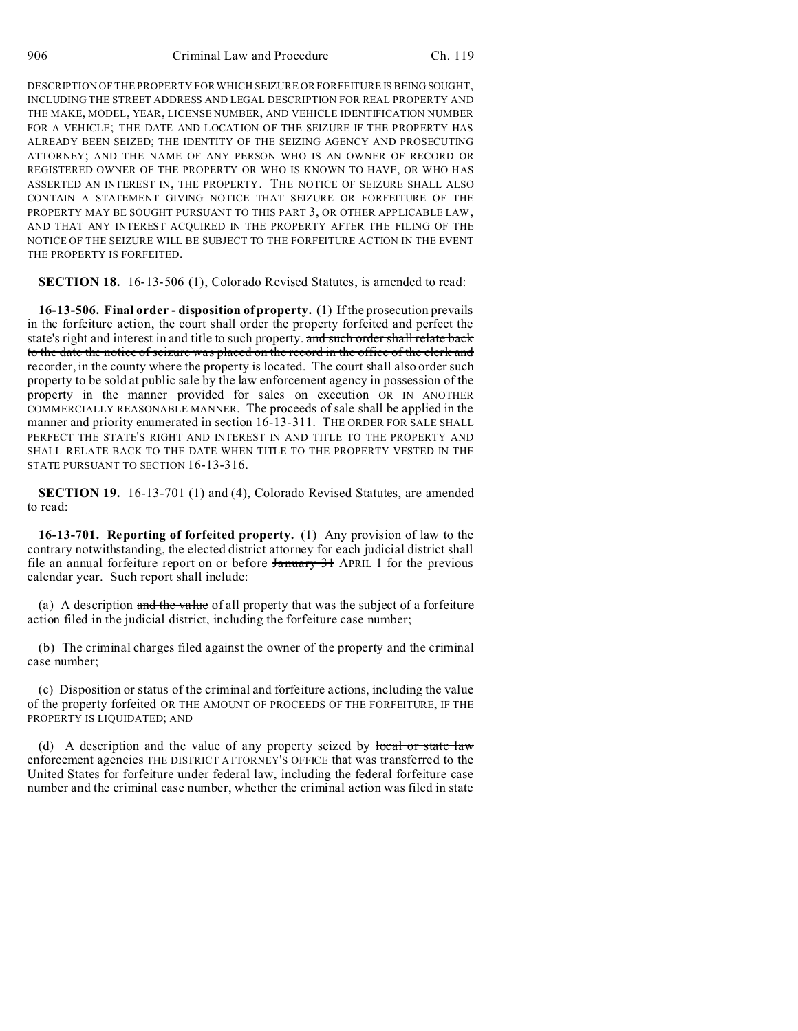DESCRIPTION OF THE PROPERTY FOR WHICH SEIZURE OR FORFEITURE IS BEING SOUGHT, INCLUDING THE STREET ADDRESS AND LEGAL DESCRIPTION FOR REAL PROPERTY AND THE MAKE, MODEL, YEAR, LICENSE NUMBER, AND VEHICLE IDENTIFICATION NUMBER FOR A VEHICLE; THE DATE AND LOCATION OF THE SEIZURE IF THE PROPERTY HAS ALREADY BEEN SEIZED; THE IDENTITY OF THE SEIZING AGENCY AND PROSECUTING ATTORNEY; AND THE NAME OF ANY PERSON WHO IS AN OWNER OF RECORD OR REGISTERED OWNER OF THE PROPERTY OR WHO IS KNOWN TO HAVE, OR WHO HAS ASSERTED AN INTEREST IN, THE PROPERTY. THE NOTICE OF SEIZURE SHALL ALSO CONTAIN A STATEMENT GIVING NOTICE THAT SEIZURE OR FORFEITURE OF THE PROPERTY MAY BE SOUGHT PURSUANT TO THIS PART 3, OR OTHER APPLICABLE LAW, AND THAT ANY INTEREST ACQUIRED IN THE PROPERTY AFTER THE FILING OF THE NOTICE OF THE SEIZURE WILL BE SUBJECT TO THE FORFEITURE ACTION IN THE EVENT THE PROPERTY IS FORFEITED.

**SECTION 18.** 16-13-506 (1), Colorado Revised Statutes, is amended to read:

**16-13-506. Final order - disposition of property.** (1) If the prosecution prevails in the forfeiture action, the court shall order the property forfeited and perfect the state's right and interest in and title to such property. and such order shall relate back to the date the notice of seizure was placed on the record in the office of the clerk and recorder, in the county where the property is located. The court shall also order such property to be sold at public sale by the law enforcement agency in possession of the property in the manner provided for sales on execution OR IN ANOTHER COMMERCIALLY REASONABLE MANNER. The proceeds of sale shall be applied in the manner and priority enumerated in section 16-13-311. THE ORDER FOR SALE SHALL PERFECT THE STATE'S RIGHT AND INTEREST IN AND TITLE TO THE PROPERTY AND SHALL RELATE BACK TO THE DATE WHEN TITLE TO THE PROPERTY VESTED IN THE STATE PURSUANT TO SECTION 16-13-316.

**SECTION 19.** 16-13-701 (1) and (4), Colorado Revised Statutes, are amended to read:

**16-13-701. Reporting of forfeited property.** (1) Any provision of law to the contrary notwithstanding, the elected district attorney for each judicial district shall file an annual forfeiture report on or before **January 31** APRIL 1 for the previous calendar year. Such report shall include:

(a) A description and the value of all property that was the subject of a forfeiture action filed in the judicial district, including the forfeiture case number;

(b) The criminal charges filed against the owner of the property and the criminal case number;

(c) Disposition or status of the criminal and forfeiture actions, including the value of the property forfeited OR THE AMOUNT OF PROCEEDS OF THE FORFEITURE, IF THE PROPERTY IS LIQUIDATED; AND

(d) A description and the value of any property seized by local or state law enforcement agencies THE DISTRICT ATTORNEY'S OFFICE that was transferred to the United States for forfeiture under federal law, including the federal forfeiture case number and the criminal case number, whether the criminal action was filed in state